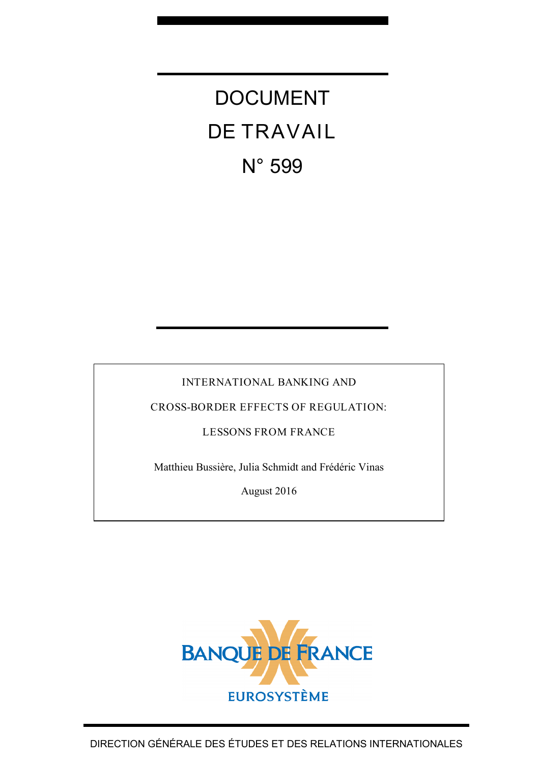DOCUMENT DE TRAVAIL N° 599

INTERNATIONAL BANKING AND

CROSS-BORDER EFFECTS OF REGULATION:

LESSONS FROM FRANCE

Matthieu Bussière, Julia Schmidt and Frédéric Vinas

August 2016

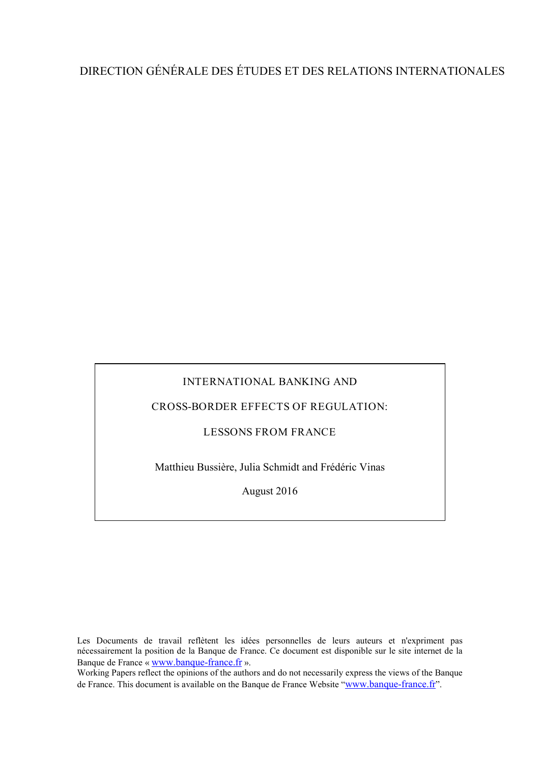## DIRECTION GÉNÉRALE DES ÉTUDES ET DES RELATIONS INTERNATIONALES

## INTERNATIONAL BANKING AND

## CROSS-BORDER EFFECTS OF REGULATION:

### LESSONS FROM FRANCE

Matthieu Bussière, Julia Schmidt and Frédéric Vinas

August 2016

Les Documents de travail reflètent les idées personnelles de leurs auteurs et n'expriment pas nécessairement la position de la Banque de France. Ce document est disponible sur le site internet de la Banque de France « [www.banque-france.fr](http://www.banque-france.fr/) ».

Working Papers reflect the opinions of the authors and do not necessarily express the views of the Banque de France. This document is available on the Banque de France Website ["www.banque-france.fr"](http://www.banque-france.fr/).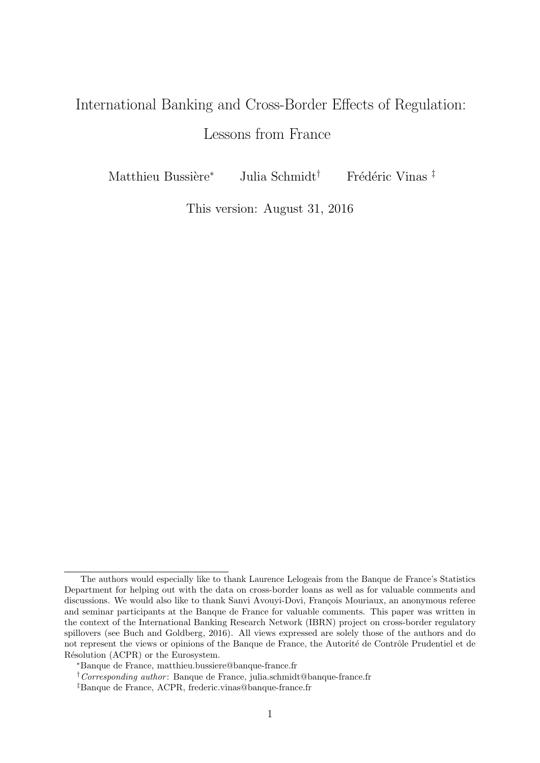# International Banking and Cross-Border Effects of Regulation: Lessons from France

Matthieu Bussière<sup>∗</sup> Julia Schmidt<sup>†</sup> Frédéric Vinas <sup>‡</sup>

This version: August 31, 2016

The authors would especially like to thank Laurence Lelogeais from the Banque de France's Statistics Department for helping out with the data on cross-border loans as well as for valuable comments and discussions. We would also like to thank Sanvi Avouyi-Dovi, François Mouriaux, an anonymous referee and seminar participants at the Banque de France for valuable comments. This paper was written in the context of the International Banking Research Network (IBRN) project on cross-border regulatory spillovers (see [Buch and Goldberg,](#page-20-0) [2016\)](#page-20-0). All views expressed are solely those of the authors and do not represent the views or opinions of the Banque de France, the Autorité de Contrôle Prudentiel et de Résolution (ACPR) or the Eurosystem.

<sup>∗</sup>Banque de France, matthieu.bussiere@banque-france.fr

<sup>&</sup>lt;sup>†</sup>Corresponding author: Banque de France, julia.schmidt@banque-france.fr

<sup>‡</sup>Banque de France, ACPR, frederic.vinas@banque-france.fr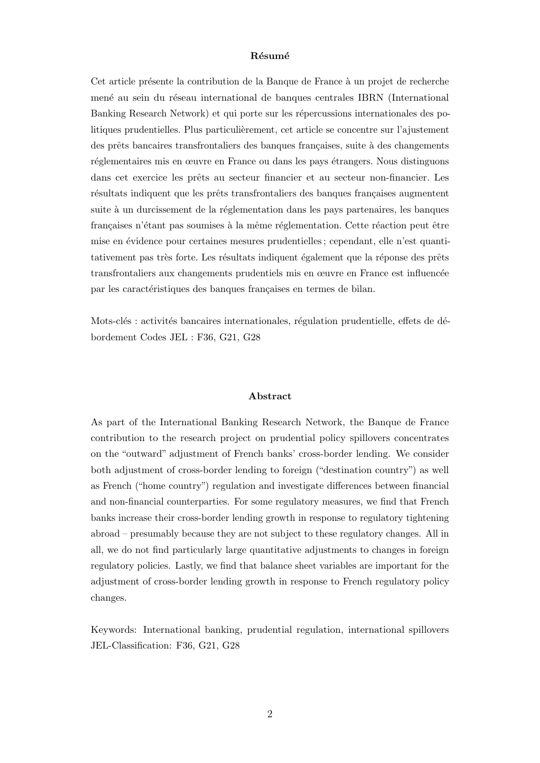#### Résumé

Cet article présente la contribution de la Banque de France à un projet de recherche mené au sein du réseau international de banques centrales IBRN (International Banking Research Network) et qui porte sur les répercussions internationales des politiques prudentielles. Plus particulièrement, cet article se concentre sur l'ajustement des prêts bancaires transfrontaliers des banques françaises, suite à des changements réglementaires mis en œuvre en France ou dans les pays étrangers. Nous distinguons dans cet exercice les prêts au secteur financier et au secteur non-financier. Les résultats indiquent que les prêts transfrontaliers des banques françaises augmentent suite à un durcissement de la réglementation dans les pays partenaires, les banques françaises n'étant pas soumises à la même réglementation. Cette réaction peut être mise en évidence pour certaines mesures prudentielles ; cependant, elle n'est quantitativement pas très forte. Les résultats indiquent également que la réponse des prêts transfrontaliers aux changements prudentiels mis en œuvre en France est influenc´ee par les caractéristiques des banques françaises en termes de bilan.

Mots-clés : activités bancaires internationales, régulation prudentielle, effets de débordement Codes JEL : F36, G21, G28

#### Abstract

As part of the International Banking Research Network, the Banque de France contribution to the research project on prudential policy spillovers concentrates on the "outward" adjustment of French banks' cross-border lending. We consider both adjustment of cross-border lending to foreign ("destination country") as well as French ("home country") regulation and investigate differences between financial and non-financial counterparties. For some regulatory measures, we find that French banks increase their cross-border lending growth in response to regulatory tightening abroad – presumably because they are not subject to these regulatory changes. All in all, we do not find particularly large quantitative adjustments to changes in foreign regulatory policies. Lastly, we find that balance sheet variables are important for the adjustment of cross-border lending growth in response to French regulatory policy changes.

Keywords: International banking, prudential regulation, international spillovers JEL-Classification: F36, G21, G28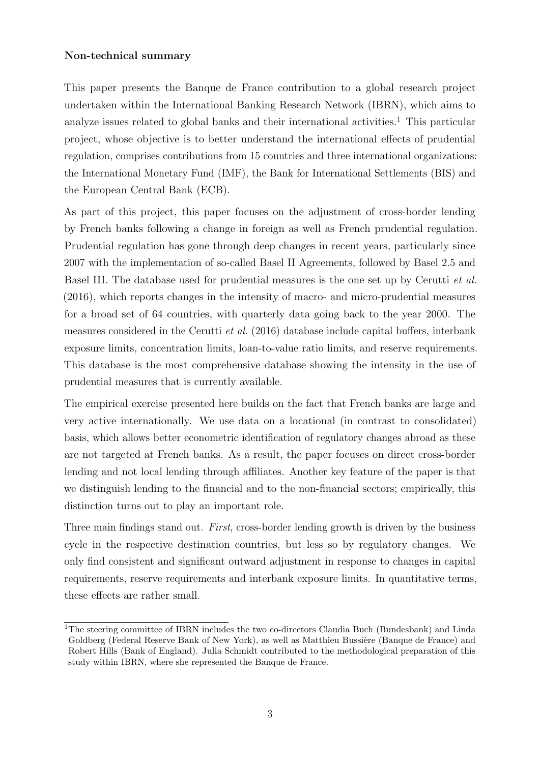#### Non-technical summary

This paper presents the Banque de France contribution to a global research project undertaken within the International Banking Research Network (IBRN), which aims to analyze issues related to global banks and their international activities.<sup>[1](#page-4-0)</sup> This particular project, whose objective is to better understand the international effects of prudential regulation, comprises contributions from 15 countries and three international organizations: the International Monetary Fund (IMF), the Bank for International Settlements (BIS) and the European Central Bank (ECB).

As part of this project, this paper focuses on the adjustment of cross-border lending by French banks following a change in foreign as well as French prudential regulation. Prudential regulation has gone through deep changes in recent years, particularly since 2007 with the implementation of so-called Basel II Agreements, followed by Basel 2.5 and Basel III. The database used for prudential measures is the one set up by [Cerutti](#page-20-1) et al. [\(2016\)](#page-20-1), which reports changes in the intensity of macro- and micro-prudential measures for a broad set of 64 countries, with quarterly data going back to the year 2000. The measures considered in the [Cerutti](#page-20-1) et al. [\(2016\)](#page-20-1) database include capital buffers, interbank exposure limits, concentration limits, loan-to-value ratio limits, and reserve requirements. This database is the most comprehensive database showing the intensity in the use of prudential measures that is currently available.

The empirical exercise presented here builds on the fact that French banks are large and very active internationally. We use data on a locational (in contrast to consolidated) basis, which allows better econometric identification of regulatory changes abroad as these are not targeted at French banks. As a result, the paper focuses on direct cross-border lending and not local lending through affiliates. Another key feature of the paper is that we distinguish lending to the financial and to the non-financial sectors; empirically, this distinction turns out to play an important role.

Three main findings stand out. *First*, cross-border lending growth is driven by the business cycle in the respective destination countries, but less so by regulatory changes. We only find consistent and significant outward adjustment in response to changes in capital requirements, reserve requirements and interbank exposure limits. In quantitative terms, these effects are rather small.

<span id="page-4-0"></span><sup>&</sup>lt;sup>1</sup>The steering committee of IBRN includes the two co-directors Claudia Buch (Bundesbank) and Linda Goldberg (Federal Reserve Bank of New York), as well as Matthieu Bussière (Banque de France) and Robert Hills (Bank of England). Julia Schmidt contributed to the methodological preparation of this study within IBRN, where she represented the Banque de France.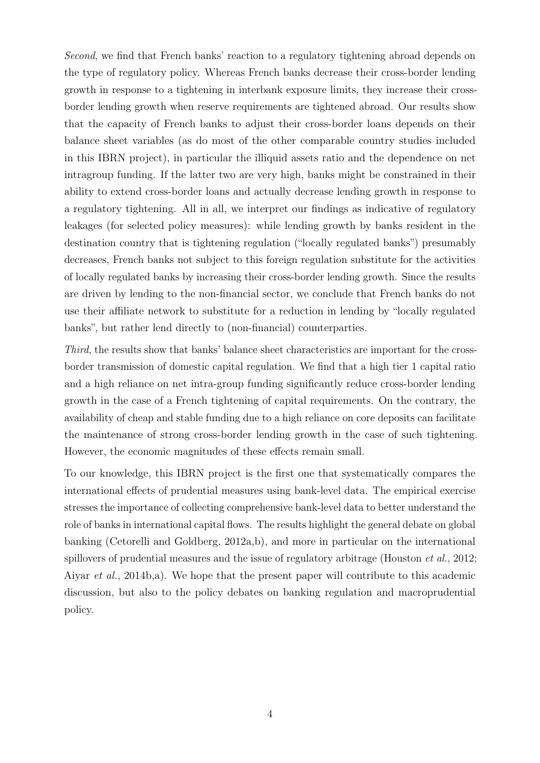Second, we find that French banks' reaction to a regulatory tightening abroad depends on the type of regulatory policy. Whereas French banks decrease their cross-border lending growth in response to a tightening in interbank exposure limits, they increase their crossborder lending growth when reserve requirements are tightened abroad. Our results show that the capacity of French banks to adjust their cross-border loans depends on their balance sheet variables (as do most of the other comparable country studies included in this IBRN project), in particular the illiquid assets ratio and the dependence on net intragroup funding. If the latter two are very high, banks might be constrained in their ability to extend cross-border loans and actually decrease lending growth in response to a regulatory tightening. All in all, we interpret our findings as indicative of regulatory leakages (for selected policy measures): while lending growth by banks resident in the destination country that is tightening regulation ("locally regulated banks") presumably decreases, French banks not subject to this foreign regulation substitute for the activities of locally regulated banks by increasing their cross-border lending growth. Since the results are driven by lending to the non-financial sector, we conclude that French banks do not use their affiliate network to substitute for a reduction in lending by "locally regulated banks", but rather lend directly to (non-financial) counterparties.

Third, the results show that banks' balance sheet characteristics are important for the crossborder transmission of domestic capital regulation. We find that a high tier 1 capital ratio and a high reliance on net intra-group funding significantly reduce cross-border lending growth in the case of a French tightening of capital requirements. On the contrary, the availability of cheap and stable funding due to a high reliance on core deposits can facilitate the maintenance of strong cross-border lending growth in the case of such tightening. However, the economic magnitudes of these effects remain small.

To our knowledge, this IBRN project is the first one that systematically compares the international effects of prudential measures using bank-level data. The empirical exercise stresses the importance of collecting comprehensive bank-level data to better understand the role of banks in international capital flows. The results highlight the general debate on global banking [\(Cetorelli and Goldberg,](#page-20-2) [2012a,](#page-20-2)[b\)](#page-20-3), and more in particular on the international spillovers of prudential measures and the issue of regulatory arbitrage [\(Houston](#page-20-4) *et al.*, [2012;](#page-20-4) [Aiyar](#page-20-5) et al., [2014b](#page-20-5)[,a\)](#page-20-6). We hope that the present paper will contribute to this academic discussion, but also to the policy debates on banking regulation and macroprudential policy.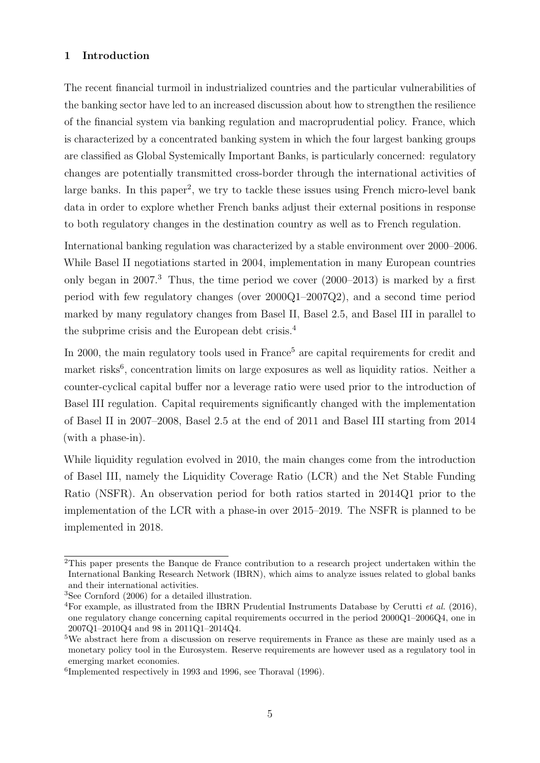#### 1 Introduction

The recent financial turmoil in industrialized countries and the particular vulnerabilities of the banking sector have led to an increased discussion about how to strengthen the resilience of the financial system via banking regulation and macroprudential policy. France, which is characterized by a concentrated banking system in which the four largest banking groups are classified as Global Systemically Important Banks, is particularly concerned: regulatory changes are potentially transmitted cross-border through the international activities of large banks. In this paper<sup>[2](#page-6-0)</sup>, we try to tackle these issues using French micro-level bank data in order to explore whether French banks adjust their external positions in response to both regulatory changes in the destination country as well as to French regulation.

International banking regulation was characterized by a stable environment over 2000–2006. While Basel II negotiations started in 2004, implementation in many European countries only began in 2007.<sup>[3](#page-6-1)</sup> Thus, the time period we cover  $(2000-2013)$  is marked by a first period with few regulatory changes (over 2000Q1–2007Q2), and a second time period marked by many regulatory changes from Basel II, Basel 2.5, and Basel III in parallel to the subprime crisis and the European debt crisis.[4](#page-6-2)

In 2000, the main regulatory tools used in France<sup>[5](#page-6-3)</sup> are capital requirements for credit and market risks<sup>[6](#page-6-4)</sup>, concentration limits on large exposures as well as liquidity ratios. Neither a counter-cyclical capital buffer nor a leverage ratio were used prior to the introduction of Basel III regulation. Capital requirements significantly changed with the implementation of Basel II in 2007–2008, Basel 2.5 at the end of 2011 and Basel III starting from 2014 (with a phase-in).

While liquidity regulation evolved in 2010, the main changes come from the introduction of Basel III, namely the Liquidity Coverage Ratio (LCR) and the Net Stable Funding Ratio (NSFR). An observation period for both ratios started in 2014Q1 prior to the implementation of the LCR with a phase-in over 2015–2019. The NSFR is planned to be implemented in 2018.

<span id="page-6-0"></span><sup>2</sup>This paper presents the Banque de France contribution to a research project undertaken within the International Banking Research Network (IBRN), which aims to analyze issues related to global banks and their international activities.

<span id="page-6-1"></span><sup>3</sup>See [Cornford](#page-20-7) [\(2006\)](#page-20-7) for a detailed illustration.

<span id="page-6-2"></span><sup>&</sup>lt;sup>4</sup>For example, as illustrated from the IBRN Prudential Instruments Database by [Cerutti](#page-20-1) *et al.* [\(2016\)](#page-20-1), one regulatory change concerning capital requirements occurred in the period 2000Q1–2006Q4, one in 2007Q1–2010Q4 and 98 in 2011Q1–2014Q4.

<span id="page-6-3"></span><sup>5</sup>We abstract here from a discussion on reserve requirements in France as these are mainly used as a monetary policy tool in the Eurosystem. Reserve requirements are however used as a regulatory tool in emerging market economies.

<span id="page-6-4"></span><sup>6</sup> Implemented respectively in 1993 and 1996, see [Thoraval](#page-20-8) [\(1996\)](#page-20-8).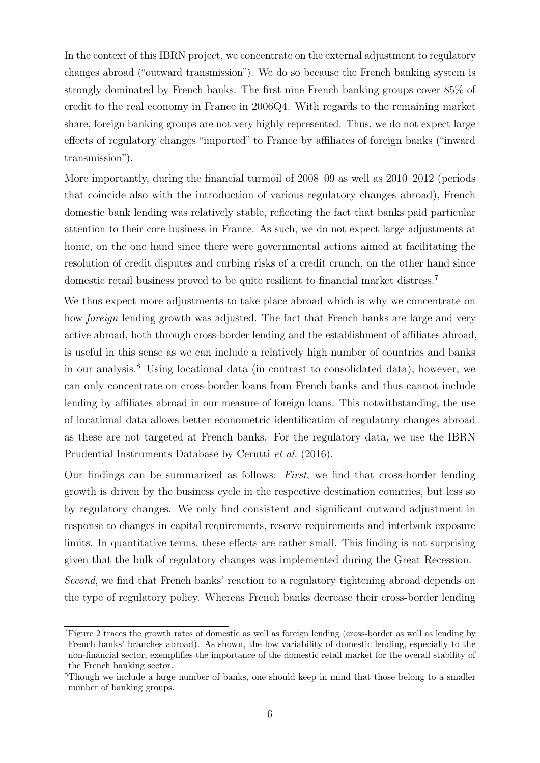In the context of this IBRN project, we concentrate on the external adjustment to regulatory changes abroad ("outward transmission"). We do so because the French banking system is strongly dominated by French banks. The first nine French banking groups cover 85% of credit to the real economy in France in 2006Q4. With regards to the remaining market share, foreign banking groups are not very highly represented. Thus, we do not expect large effects of regulatory changes "imported" to France by affiliates of foreign banks ("inward transmission").

More importantly, during the financial turmoil of 2008–09 as well as 2010–2012 (periods that coincide also with the introduction of various regulatory changes abroad), French domestic bank lending was relatively stable, reflecting the fact that banks paid particular attention to their core business in France. As such, we do not expect large adjustments at home, on the one hand since there were governmental actions aimed at facilitating the resolution of credit disputes and curbing risks of a credit crunch, on the other hand since domestic retail business proved to be quite resilient to financial market distress.[7](#page-7-0)

We thus expect more adjustments to take place abroad which is why we concentrate on how *foreign* lending growth was adjusted. The fact that French banks are large and very active abroad, both through cross-border lending and the establishment of affiliates abroad, is useful in this sense as we can include a relatively high number of countries and banks in our analysis.[8](#page-7-1) Using locational data (in contrast to consolidated data), however, we can only concentrate on cross-border loans from French banks and thus cannot include lending by affiliates abroad in our measure of foreign loans. This notwithstanding, the use of locational data allows better econometric identification of regulatory changes abroad as these are not targeted at French banks. For the regulatory data, we use the IBRN Prudential Instruments Database by [Cerutti](#page-20-1) et al. [\(2016\)](#page-20-1).

Our findings can be summarized as follows: First, we find that cross-border lending growth is driven by the business cycle in the respective destination countries, but less so by regulatory changes. We only find consistent and significant outward adjustment in response to changes in capital requirements, reserve requirements and interbank exposure limits. In quantitative terms, these effects are rather small. This finding is not surprising given that the bulk of regulatory changes was implemented during the Great Recession.

Second, we find that French banks' reaction to a regulatory tightening abroad depends on the type of regulatory policy. Whereas French banks decrease their cross-border lending

<span id="page-7-0"></span><sup>7</sup>Figure [2](#page-23-0) traces the growth rates of domestic as well as foreign lending (cross-border as well as lending by French banks' branches abroad). As shown, the low variability of domestic lending, especially to the non-financial sector, exemplifies the importance of the domestic retail market for the overall stability of the French banking sector.

<span id="page-7-1"></span><sup>8</sup>Though we include a large number of banks, one should keep in mind that those belong to a smaller number of banking groups.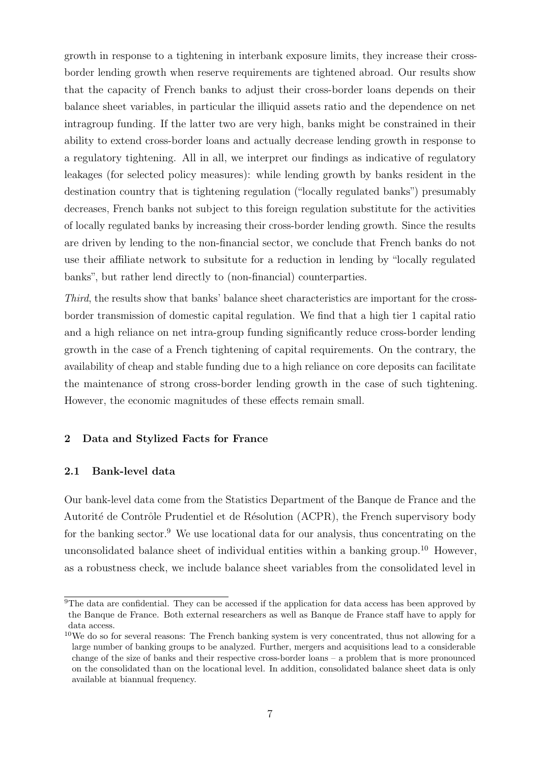growth in response to a tightening in interbank exposure limits, they increase their crossborder lending growth when reserve requirements are tightened abroad. Our results show that the capacity of French banks to adjust their cross-border loans depends on their balance sheet variables, in particular the illiquid assets ratio and the dependence on net intragroup funding. If the latter two are very high, banks might be constrained in their ability to extend cross-border loans and actually decrease lending growth in response to a regulatory tightening. All in all, we interpret our findings as indicative of regulatory leakages (for selected policy measures): while lending growth by banks resident in the destination country that is tightening regulation ("locally regulated banks") presumably decreases, French banks not subject to this foreign regulation substitute for the activities of locally regulated banks by increasing their cross-border lending growth. Since the results are driven by lending to the non-financial sector, we conclude that French banks do not use their affiliate network to subsitute for a reduction in lending by "locally regulated banks", but rather lend directly to (non-financial) counterparties.

Third, the results show that banks' balance sheet characteristics are important for the crossborder transmission of domestic capital regulation. We find that a high tier 1 capital ratio and a high reliance on net intra-group funding significantly reduce cross-border lending growth in the case of a French tightening of capital requirements. On the contrary, the availability of cheap and stable funding due to a high reliance on core deposits can facilitate the maintenance of strong cross-border lending growth in the case of such tightening. However, the economic magnitudes of these effects remain small.

#### 2 Data and Stylized Facts for France

#### 2.1 Bank-level data

Our bank-level data come from the Statistics Department of the Banque de France and the Autorité de Contrôle Prudentiel et de Résolution (ACPR), the French supervisory body for the banking sector.<sup>[9](#page-8-0)</sup> We use locational data for our analysis, thus concentrating on the unconsolidated balance sheet of individual entities within a banking group.<sup>[10](#page-8-1)</sup> However, as a robustness check, we include balance sheet variables from the consolidated level in

<span id="page-8-0"></span><sup>&</sup>lt;sup>9</sup>The data are confidential. They can be accessed if the application for data access has been approved by the Banque de France. Both external researchers as well as Banque de France staff have to apply for data access.

<span id="page-8-1"></span> $10$ We do so for several reasons: The French banking system is very concentrated, thus not allowing for a large number of banking groups to be analyzed. Further, mergers and acquisitions lead to a considerable change of the size of banks and their respective cross-border loans – a problem that is more pronounced on the consolidated than on the locational level. In addition, consolidated balance sheet data is only available at biannual frequency.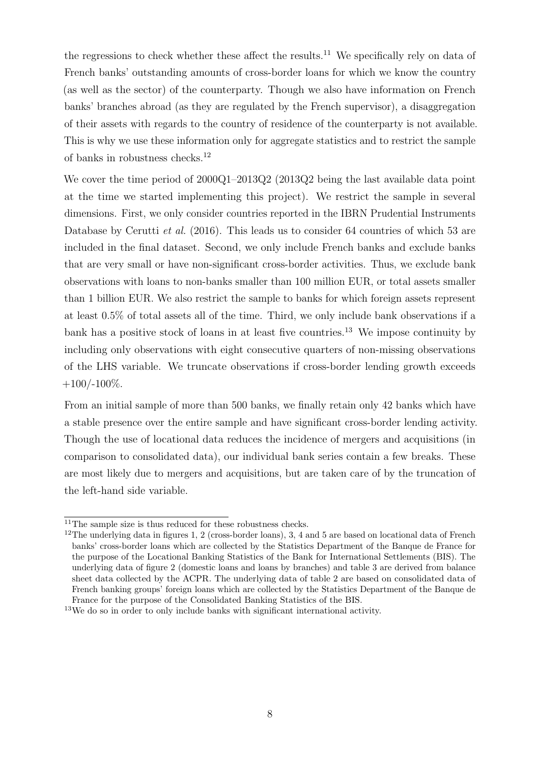the regressions to check whether these affect the results.<sup>[11](#page-9-0)</sup> We specifically rely on data of French banks' outstanding amounts of cross-border loans for which we know the country (as well as the sector) of the counterparty. Though we also have information on French banks' branches abroad (as they are regulated by the French supervisor), a disaggregation of their assets with regards to the country of residence of the counterparty is not available. This is why we use these information only for aggregate statistics and to restrict the sample of banks in robustness checks.[12](#page-9-1)

We cover the time period of  $2000Q1-2013Q2$  (2013Q2 being the last available data point at the time we started implementing this project). We restrict the sample in several dimensions. First, we only consider countries reported in the IBRN Prudential Instruments Database by [Cerutti](#page-20-1) *et al.* [\(2016\)](#page-20-1). This leads us to consider 64 countries of which 53 are included in the final dataset. Second, we only include French banks and exclude banks that are very small or have non-significant cross-border activities. Thus, we exclude bank observations with loans to non-banks smaller than 100 million EUR, or total assets smaller than 1 billion EUR. We also restrict the sample to banks for which foreign assets represent at least 0.5% of total assets all of the time. Third, we only include bank observations if a bank has a positive stock of loans in at least five countries.<sup>[13](#page-9-2)</sup> We impose continuity by including only observations with eight consecutive quarters of non-missing observations of the LHS variable. We truncate observations if cross-border lending growth exceeds  $+100/-100\%$ .

From an initial sample of more than 500 banks, we finally retain only 42 banks which have a stable presence over the entire sample and have significant cross-border lending activity. Though the use of locational data reduces the incidence of mergers and acquisitions (in comparison to consolidated data), our individual bank series contain a few breaks. These are most likely due to mergers and acquisitions, but are taken care of by the truncation of the left-hand side variable.

<span id="page-9-0"></span> $^{11}{\rm The}$  sample size is thus reduced for these robustness checks.

<span id="page-9-1"></span><sup>&</sup>lt;sup>12</sup>The underlying data in figures [1,](#page-23-1) [2](#page-23-0) (cross-border loans), [3,](#page-24-0) [4](#page-24-1) and [5](#page-24-2) are based on locational data of French banks' cross-border loans which are collected by the Statistics Department of the Banque de France for the purpose of the Locational Banking Statistics of the Bank for International Settlements (BIS). The underlying data of figure [2](#page-23-0) (domestic loans and loans by branches) and table [3](#page-27-0) are derived from balance sheet data collected by the ACPR. The underlying data of table [2](#page-26-0) are based on consolidated data of French banking groups' foreign loans which are collected by the Statistics Department of the Banque de France for the purpose of the Consolidated Banking Statistics of the BIS.

<span id="page-9-2"></span> $13\text{We do so in order to only include banks with significant international activity.}$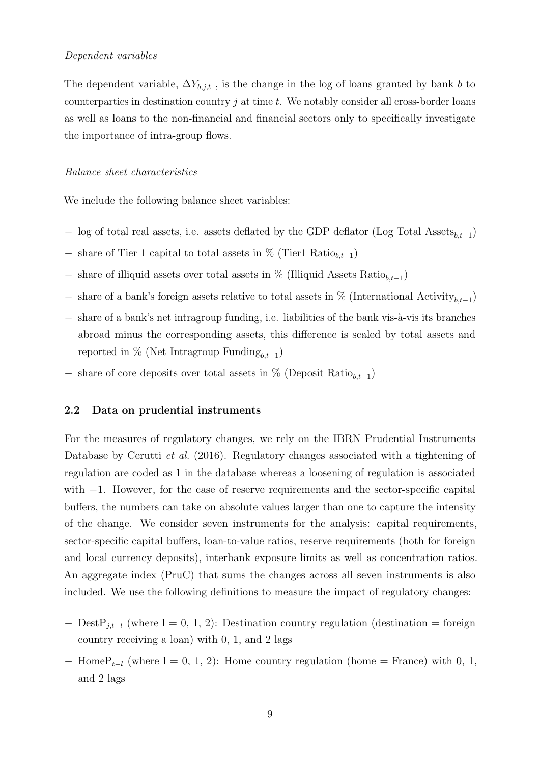#### Dependent variables

The dependent variable,  $\Delta Y_{b,j,t}$ , is the change in the log of loans granted by bank b to counterparties in destination country  $j$  at time  $t$ . We notably consider all cross-border loans as well as loans to the non-financial and financial sectors only to specifically investigate the importance of intra-group flows.

#### Balance sheet characteristics

We include the following balance sheet variables:

- − log of total real assets, i.e. assets deflated by the GDP deflator (Log Total Assets $_{b,t-1}$ )
- − share of Tier 1 capital to total assets in  $\%$  (Tier1 Ratio<sub>b,t−1</sub>)
- − share of illiquid assets over total assets in  $\%$  (Illiquid Assets Ratio<sub>b,t−1</sub>)
- − share of a bank's foreign assets relative to total assets in  $\%$  (International Activity<sub>b,t−1</sub>)
- − share of a bank's net intragroup funding, i.e. liabilities of the bank vis-à-vis its branches abroad minus the corresponding assets, this difference is scaled by total assets and reported in % (Net Intragroup Funding<sub>b,t−1</sub>)
- − share of core deposits over total assets in % (Deposit Ratio<sub>b,t−1</sub>)

#### 2.2 Data on prudential instruments

For the measures of regulatory changes, we rely on the IBRN Prudential Instruments Database by [Cerutti](#page-20-1) et al. [\(2016\)](#page-20-1). Regulatory changes associated with a tightening of regulation are coded as 1 in the database whereas a loosening of regulation is associated with −1. However, for the case of reserve requirements and the sector-specific capital buffers, the numbers can take on absolute values larger than one to capture the intensity of the change. We consider seven instruments for the analysis: capital requirements, sector-specific capital buffers, loan-to-value ratios, reserve requirements (both for foreign and local currency deposits), interbank exposure limits as well as concentration ratios. An aggregate index (PruC) that sums the changes across all seven instruments is also included. We use the following definitions to measure the impact of regulatory changes:

- $-$  Dest $P_{j,t-l}$  (where  $l = 0, 1, 2$ ): Destination country regulation (destination = foreign country receiving a loan) with 0, 1, and 2 lags
- $-$  Home $P_{t-1}$  (where  $l = 0, 1, 2$ ): Home country regulation (home = France) with 0, 1, and 2 lags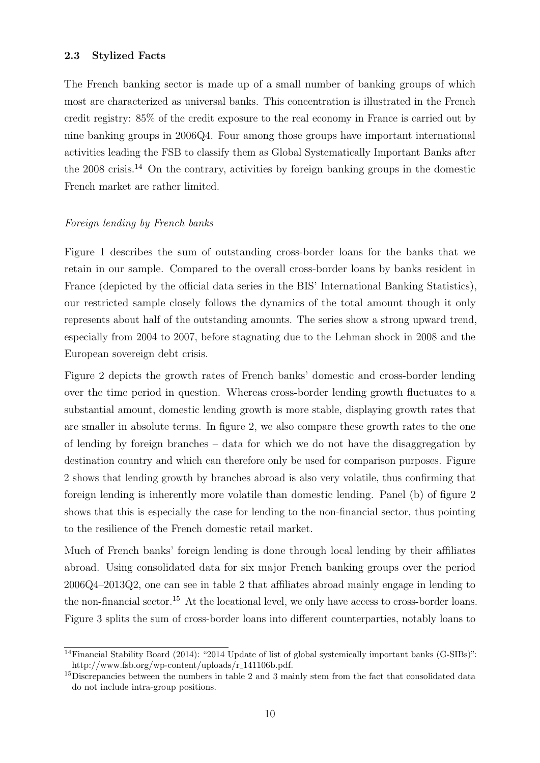#### <span id="page-11-2"></span>2.3 Stylized Facts

The French banking sector is made up of a small number of banking groups of which most are characterized as universal banks. This concentration is illustrated in the French credit registry: 85% of the credit exposure to the real economy in France is carried out by nine banking groups in 2006Q4. Four among those groups have important international activities leading the FSB to classify them as Global Systematically Important Banks after the  $2008 \text{ crisis.}^{14}$  $2008 \text{ crisis.}^{14}$  $2008 \text{ crisis.}^{14}$  On the contrary, activities by foreign banking groups in the domestic French market are rather limited.

#### Foreign lending by French banks

Figure [1](#page-23-1) describes the sum of outstanding cross-border loans for the banks that we retain in our sample. Compared to the overall cross-border loans by banks resident in France (depicted by the official data series in the BIS' International Banking Statistics), our restricted sample closely follows the dynamics of the total amount though it only represents about half of the outstanding amounts. The series show a strong upward trend, especially from 2004 to 2007, before stagnating due to the Lehman shock in 2008 and the European sovereign debt crisis.

Figure [2](#page-23-0) depicts the growth rates of French banks' domestic and cross-border lending over the time period in question. Whereas cross-border lending growth fluctuates to a substantial amount, domestic lending growth is more stable, displaying growth rates that are smaller in absolute terms. In figure [2,](#page-23-0) we also compare these growth rates to the one of lending by foreign branches – data for which we do not have the disaggregation by destination country and which can therefore only be used for comparison purposes. Figure [2](#page-23-0) shows that lending growth by branches abroad is also very volatile, thus confirming that foreign lending is inherently more volatile than domestic lending. Panel (b) of figure [2](#page-23-0) shows that this is especially the case for lending to the non-financial sector, thus pointing to the resilience of the French domestic retail market.

Much of French banks' foreign lending is done through local lending by their affiliates abroad. Using consolidated data for six major French banking groups over the period 2006Q4–2013Q2, one can see in table [2](#page-26-0) that affiliates abroad mainly engage in lending to the non-financial sector.[15](#page-11-1) At the locational level, we only have access to cross-border loans. Figure [3](#page-24-0) splits the sum of cross-border loans into different counterparties, notably loans to

<span id="page-11-0"></span><sup>&</sup>lt;sup>14</sup>Financial Stability Board (2014): "2014 Update of list of global systemically important banks (G-SIBs)": [http://www.fsb.org/wp-content/uploads/r](http://www.fsb.org/wp-content/uploads/r_141106b.pdf) 141106b.pdf.

<span id="page-11-1"></span><sup>&</sup>lt;sup>15</sup>Discrepancies between the numbers in table [2](#page-26-0) and [3](#page-27-0) mainly stem from the fact that consolidated data do not include intra-group positions.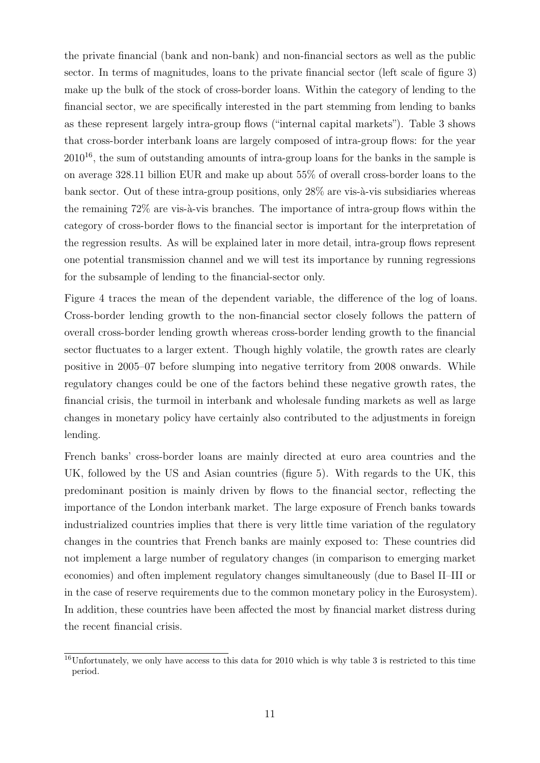the private financial (bank and non-bank) and non-financial sectors as well as the public sector. In terms of magnitudes, loans to the private financial sector (left scale of figure [3\)](#page-24-0) make up the bulk of the stock of cross-border loans. Within the category of lending to the financial sector, we are specifically interested in the part stemming from lending to banks as these represent largely intra-group flows ("internal capital markets"). Table [3](#page-27-0) shows that cross-border interbank loans are largely composed of intra-group flows: for the year  $2010^{16}$  $2010^{16}$  $2010^{16}$ , the sum of outstanding amounts of intra-group loans for the banks in the sample is on average 328.11 billion EUR and make up about 55% of overall cross-border loans to the bank sector. Out of these intra-group positions, only  $28\%$  are vis- $\alpha$ -vis subsidiaries whereas the remaining  $72\%$  are vis-à-vis branches. The importance of intra-group flows within the category of cross-border flows to the financial sector is important for the interpretation of the regression results. As will be explained later in more detail, intra-group flows represent one potential transmission channel and we will test its importance by running regressions for the subsample of lending to the financial-sector only.

Figure [4](#page-24-1) traces the mean of the dependent variable, the difference of the log of loans. Cross-border lending growth to the non-financial sector closely follows the pattern of overall cross-border lending growth whereas cross-border lending growth to the financial sector fluctuates to a larger extent. Though highly volatile, the growth rates are clearly positive in 2005–07 before slumping into negative territory from 2008 onwards. While regulatory changes could be one of the factors behind these negative growth rates, the financial crisis, the turmoil in interbank and wholesale funding markets as well as large changes in monetary policy have certainly also contributed to the adjustments in foreign lending.

French banks' cross-border loans are mainly directed at euro area countries and the UK, followed by the US and Asian countries (figure [5\)](#page-24-2). With regards to the UK, this predominant position is mainly driven by flows to the financial sector, reflecting the importance of the London interbank market. The large exposure of French banks towards industrialized countries implies that there is very little time variation of the regulatory changes in the countries that French banks are mainly exposed to: These countries did not implement a large number of regulatory changes (in comparison to emerging market economies) and often implement regulatory changes simultaneously (due to Basel II–III or in the case of reserve requirements due to the common monetary policy in the Eurosystem). In addition, these countries have been affected the most by financial market distress during the recent financial crisis.

<span id="page-12-0"></span> $16$ Unfortunately, we only have access to this data for 2010 which is why table [3](#page-27-0) is restricted to this time period.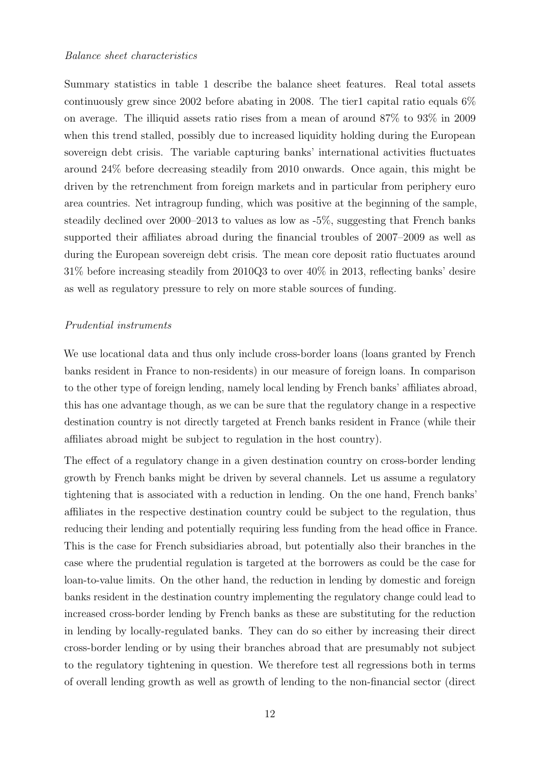#### Balance sheet characteristics

Summary statistics in table [1](#page-26-1) describe the balance sheet features. Real total assets continuously grew since 2002 before abating in 2008. The tier1 capital ratio equals 6% on average. The illiquid assets ratio rises from a mean of around 87% to 93% in 2009 when this trend stalled, possibly due to increased liquidity holding during the European sovereign debt crisis. The variable capturing banks' international activities fluctuates around 24% before decreasing steadily from 2010 onwards. Once again, this might be driven by the retrenchment from foreign markets and in particular from periphery euro area countries. Net intragroup funding, which was positive at the beginning of the sample, steadily declined over 2000–2013 to values as low as -5%, suggesting that French banks supported their affiliates abroad during the financial troubles of 2007–2009 as well as during the European sovereign debt crisis. The mean core deposit ratio fluctuates around 31% before increasing steadily from 2010Q3 to over 40% in 2013, reflecting banks' desire as well as regulatory pressure to rely on more stable sources of funding.

#### Prudential instruments

We use locational data and thus only include cross-border loans (loans granted by French banks resident in France to non-residents) in our measure of foreign loans. In comparison to the other type of foreign lending, namely local lending by French banks' affiliates abroad, this has one advantage though, as we can be sure that the regulatory change in a respective destination country is not directly targeted at French banks resident in France (while their affiliates abroad might be subject to regulation in the host country).

The effect of a regulatory change in a given destination country on cross-border lending growth by French banks might be driven by several channels. Let us assume a regulatory tightening that is associated with a reduction in lending. On the one hand, French banks' affiliates in the respective destination country could be subject to the regulation, thus reducing their lending and potentially requiring less funding from the head office in France. This is the case for French subsidiaries abroad, but potentially also their branches in the case where the prudential regulation is targeted at the borrowers as could be the case for loan-to-value limits. On the other hand, the reduction in lending by domestic and foreign banks resident in the destination country implementing the regulatory change could lead to increased cross-border lending by French banks as these are substituting for the reduction in lending by locally-regulated banks. They can do so either by increasing their direct cross-border lending or by using their branches abroad that are presumably not subject to the regulatory tightening in question. We therefore test all regressions both in terms of overall lending growth as well as growth of lending to the non-financial sector (direct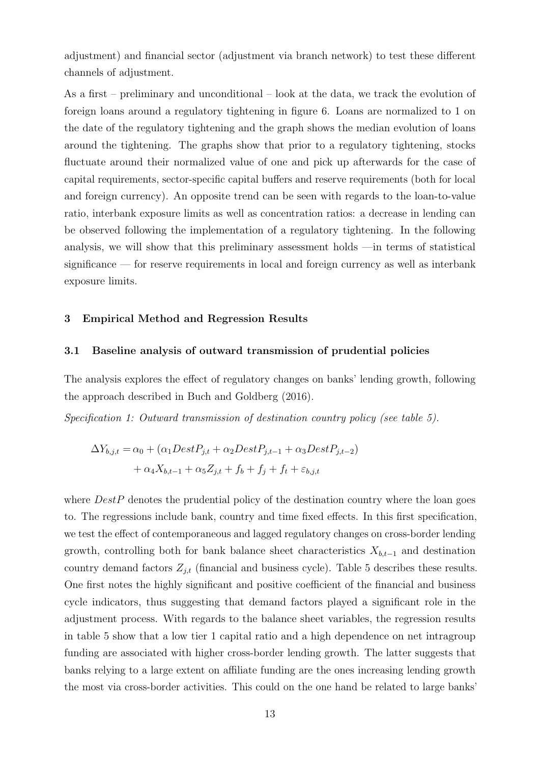adjustment) and financial sector (adjustment via branch network) to test these different channels of adjustment.

As a first – preliminary and unconditional – look at the data, we track the evolution of foreign loans around a regulatory tightening in figure [6.](#page-25-0) Loans are normalized to 1 on the date of the regulatory tightening and the graph shows the median evolution of loans around the tightening. The graphs show that prior to a regulatory tightening, stocks fluctuate around their normalized value of one and pick up afterwards for the case of capital requirements, sector-specific capital buffers and reserve requirements (both for local and foreign currency). An opposite trend can be seen with regards to the loan-to-value ratio, interbank exposure limits as well as concentration ratios: a decrease in lending can be observed following the implementation of a regulatory tightening. In the following analysis, we will show that this preliminary assessment holds —in terms of statistical significance — for reserve requirements in local and foreign currency as well as interbank exposure limits.

#### 3 Empirical Method and Regression Results

#### 3.1 Baseline analysis of outward transmission of prudential policies

The analysis explores the effect of regulatory changes on banks' lending growth, following the approach described in [Buch and Goldberg](#page-20-0) [\(2016\)](#page-20-0).

Specification 1: Outward transmission of destination country policy (see table [5\)](#page-28-0).

$$
\Delta Y_{b,j,t} = \alpha_0 + (\alpha_1 DestP_{j,t} + \alpha_2 DestP_{j,t-1} + \alpha_3 DestP_{j,t-2})
$$

$$
+ \alpha_4 X_{b,t-1} + \alpha_5 Z_{j,t} + f_b + f_j + f_t + \varepsilon_{b,j,t}
$$

where  $DestP$  denotes the prudential policy of the destination country where the loan goes to. The regressions include bank, country and time fixed effects. In this first specification, we test the effect of contemporaneous and lagged regulatory changes on cross-border lending growth, controlling both for bank balance sheet characteristics  $X_{b,t-1}$  and destination country demand factors  $Z_{j,t}$  (financial and business cycle). Table [5](#page-28-0) describes these results. One first notes the highly significant and positive coefficient of the financial and business cycle indicators, thus suggesting that demand factors played a significant role in the adjustment process. With regards to the balance sheet variables, the regression results in table [5](#page-28-0) show that a low tier 1 capital ratio and a high dependence on net intragroup funding are associated with higher cross-border lending growth. The latter suggests that banks relying to a large extent on affiliate funding are the ones increasing lending growth the most via cross-border activities. This could on the one hand be related to large banks'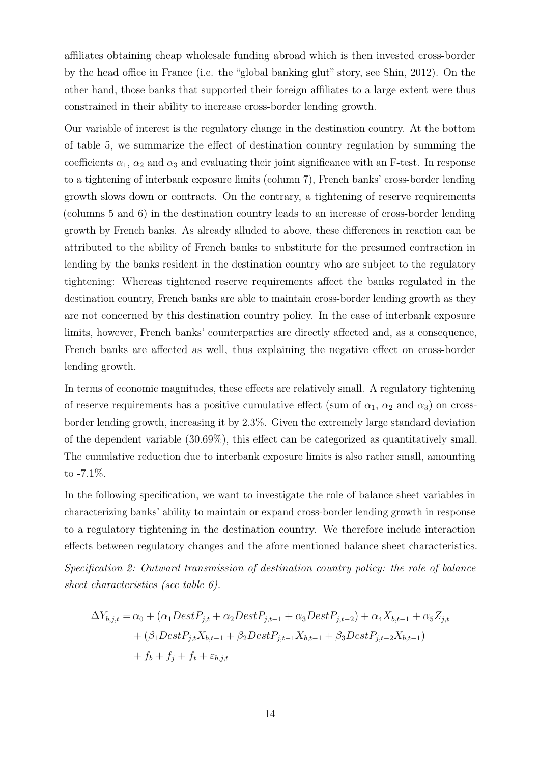affiliates obtaining cheap wholesale funding abroad which is then invested cross-border by the head office in France (i.e. the "global banking glut" story, see [Shin,](#page-20-9) [2012\)](#page-20-9). On the other hand, those banks that supported their foreign affiliates to a large extent were thus constrained in their ability to increase cross-border lending growth.

Our variable of interest is the regulatory change in the destination country. At the bottom of table [5,](#page-28-0) we summarize the effect of destination country regulation by summing the coefficients  $\alpha_1$ ,  $\alpha_2$  and  $\alpha_3$  and evaluating their joint significance with an F-test. In response to a tightening of interbank exposure limits (column 7), French banks' cross-border lending growth slows down or contracts. On the contrary, a tightening of reserve requirements (columns 5 and 6) in the destination country leads to an increase of cross-border lending growth by French banks. As already alluded to above, these differences in reaction can be attributed to the ability of French banks to substitute for the presumed contraction in lending by the banks resident in the destination country who are subject to the regulatory tightening: Whereas tightened reserve requirements affect the banks regulated in the destination country, French banks are able to maintain cross-border lending growth as they are not concerned by this destination country policy. In the case of interbank exposure limits, however, French banks' counterparties are directly affected and, as a consequence, French banks are affected as well, thus explaining the negative effect on cross-border lending growth.

In terms of economic magnitudes, these effects are relatively small. A regulatory tightening of reserve requirements has a positive cumulative effect (sum of  $\alpha_1$ ,  $\alpha_2$  and  $\alpha_3$ ) on crossborder lending growth, increasing it by 2.3%. Given the extremely large standard deviation of the dependent variable (30.69%), this effect can be categorized as quantitatively small. The cumulative reduction due to interbank exposure limits is also rather small, amounting to -7.1%.

In the following specification, we want to investigate the role of balance sheet variables in characterizing banks' ability to maintain or expand cross-border lending growth in response to a regulatory tightening in the destination country. We therefore include interaction effects between regulatory changes and the afore mentioned balance sheet characteristics.

Specification 2: Outward transmission of destination country policy: the role of balance sheet characteristics (see table [6\)](#page-29-0).

$$
\Delta Y_{b,j,t} = \alpha_0 + (\alpha_1 DestP_{j,t} + \alpha_2 DestP_{j,t-1} + \alpha_3 DestP_{j,t-2}) + \alpha_4 X_{b,t-1} + \alpha_5 Z_{j,t} + (\beta_1 DestP_{j,t}X_{b,t-1} + \beta_2 DestP_{j,t-1}X_{b,t-1} + \beta_3 DestP_{j,t-2}X_{b,t-1}) + f_b + f_j + f_t + \varepsilon_{b,j,t}
$$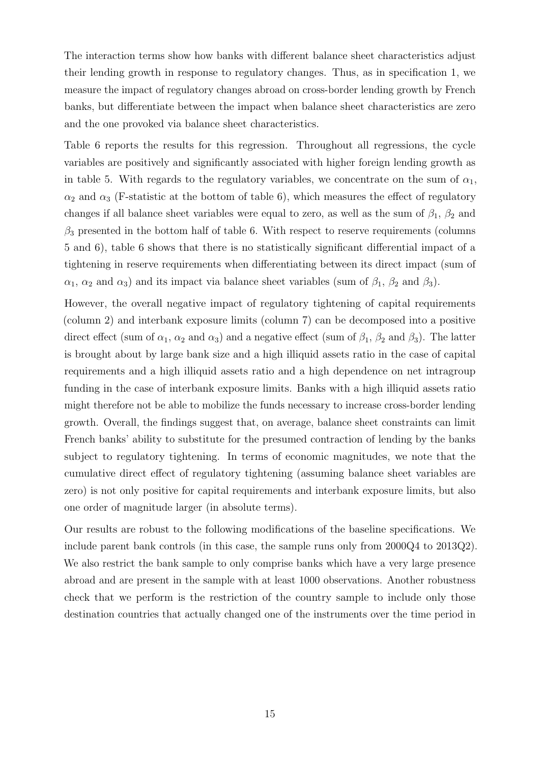The interaction terms show how banks with different balance sheet characteristics adjust their lending growth in response to regulatory changes. Thus, as in specification 1, we measure the impact of regulatory changes abroad on cross-border lending growth by French banks, but differentiate between the impact when balance sheet characteristics are zero and the one provoked via balance sheet characteristics.

Table [6](#page-29-0) reports the results for this regression. Throughout all regressions, the cycle variables are positively and significantly associated with higher foreign lending growth as in table [5.](#page-28-0) With regards to the regulatory variables, we concentrate on the sum of  $\alpha_1$ ,  $\alpha_2$  and  $\alpha_3$  (F-statistic at the bottom of table [6\)](#page-29-0), which measures the effect of regulatory changes if all balance sheet variables were equal to zero, as well as the sum of  $\beta_1$ ,  $\beta_2$  and  $\beta_3$  presented in the bottom half of table [6.](#page-29-0) With respect to reserve requirements (columns 5 and 6), table [6](#page-29-0) shows that there is no statistically significant differential impact of a tightening in reserve requirements when differentiating between its direct impact (sum of  $\alpha_1$ ,  $\alpha_2$  and  $\alpha_3$ ) and its impact via balance sheet variables (sum of  $\beta_1$ ,  $\beta_2$  and  $\beta_3$ ).

However, the overall negative impact of regulatory tightening of capital requirements (column 2) and interbank exposure limits (column 7) can be decomposed into a positive direct effect (sum of  $\alpha_1$ ,  $\alpha_2$  and  $\alpha_3$ ) and a negative effect (sum of  $\beta_1$ ,  $\beta_2$  and  $\beta_3$ ). The latter is brought about by large bank size and a high illiquid assets ratio in the case of capital requirements and a high illiquid assets ratio and a high dependence on net intragroup funding in the case of interbank exposure limits. Banks with a high illiquid assets ratio might therefore not be able to mobilize the funds necessary to increase cross-border lending growth. Overall, the findings suggest that, on average, balance sheet constraints can limit French banks' ability to substitute for the presumed contraction of lending by the banks subject to regulatory tightening. In terms of economic magnitudes, we note that the cumulative direct effect of regulatory tightening (assuming balance sheet variables are zero) is not only positive for capital requirements and interbank exposure limits, but also one order of magnitude larger (in absolute terms).

Our results are robust to the following modifications of the baseline specifications. We include parent bank controls (in this case, the sample runs only from 2000Q4 to 2013Q2). We also restrict the bank sample to only comprise banks which have a very large presence abroad and are present in the sample with at least 1000 observations. Another robustness check that we perform is the restriction of the country sample to include only those destination countries that actually changed one of the instruments over the time period in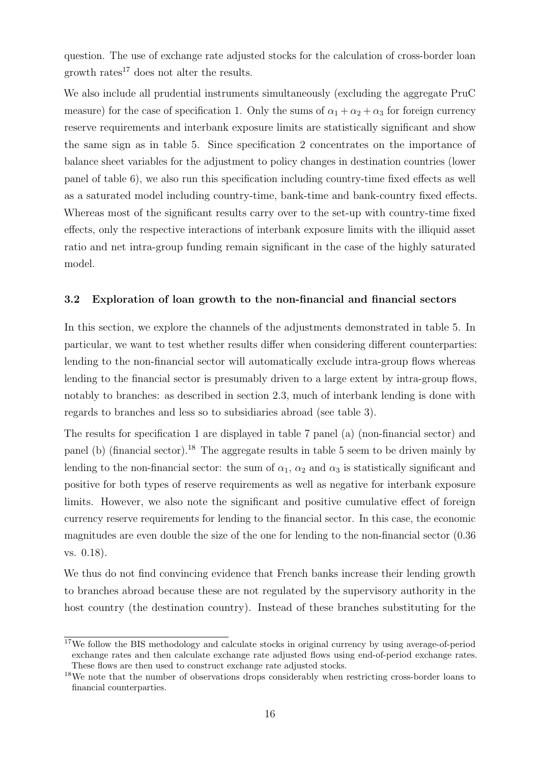question. The use of exchange rate adjusted stocks for the calculation of cross-border loan growth rates $^{17}$  $^{17}$  $^{17}$  does not alter the results.

We also include all prudential instruments simultaneously (excluding the aggregate PruC measure) for the case of specification 1. Only the sums of  $\alpha_1 + \alpha_2 + \alpha_3$  for foreign currency reserve requirements and interbank exposure limits are statistically significant and show the same sign as in table [5.](#page-28-0) Since specification 2 concentrates on the importance of balance sheet variables for the adjustment to policy changes in destination countries (lower panel of table [6\)](#page-29-0), we also run this specification including country-time fixed effects as well as a saturated model including country-time, bank-time and bank-country fixed effects. Whereas most of the significant results carry over to the set-up with country-time fixed effects, only the respective interactions of interbank exposure limits with the illiquid asset ratio and net intra-group funding remain significant in the case of the highly saturated model.

#### 3.2 Exploration of loan growth to the non-financial and financial sectors

In this section, we explore the channels of the adjustments demonstrated in table [5.](#page-28-0) In particular, we want to test whether results differ when considering different counterparties: lending to the non-financial sector will automatically exclude intra-group flows whereas lending to the financial sector is presumably driven to a large extent by intra-group flows, notably to branches: as described in section [2.3,](#page-11-2) much of interbank lending is done with regards to branches and less so to subsidiaries abroad (see table [3\)](#page-27-0).

The results for specification 1 are displayed in table [7](#page-30-0) panel (a) (non-financial sector) and panel (b) (financial sector).[18](#page-17-1) The aggregate results in table [5](#page-28-0) seem to be driven mainly by lending to the non-financial sector: the sum of  $\alpha_1$ ,  $\alpha_2$  and  $\alpha_3$  is statistically significant and positive for both types of reserve requirements as well as negative for interbank exposure limits. However, we also note the significant and positive cumulative effect of foreign currency reserve requirements for lending to the financial sector. In this case, the economic magnitudes are even double the size of the one for lending to the non-financial sector (0.36 vs. 0.18).

We thus do not find convincing evidence that French banks increase their lending growth to branches abroad because these are not regulated by the supervisory authority in the host country (the destination country). Instead of these branches substituting for the

<span id="page-17-0"></span><sup>&</sup>lt;sup>17</sup>We follow the BIS methodology and calculate stocks in original currency by using average-of-period exchange rates and then calculate exchange rate adjusted flows using end-of-period exchange rates. These flows are then used to construct exchange rate adjusted stocks.

<span id="page-17-1"></span><sup>&</sup>lt;sup>18</sup>We note that the number of observations drops considerably when restricting cross-border loans to financial counterparties.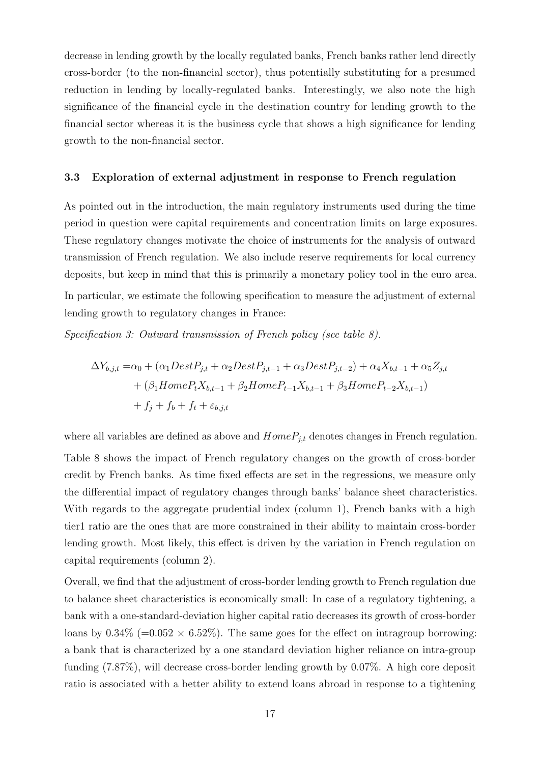decrease in lending growth by the locally regulated banks, French banks rather lend directly cross-border (to the non-financial sector), thus potentially substituting for a presumed reduction in lending by locally-regulated banks. Interestingly, we also note the high significance of the financial cycle in the destination country for lending growth to the financial sector whereas it is the business cycle that shows a high significance for lending growth to the non-financial sector.

#### 3.3 Exploration of external adjustment in response to French regulation

As pointed out in the introduction, the main regulatory instruments used during the time period in question were capital requirements and concentration limits on large exposures. These regulatory changes motivate the choice of instruments for the analysis of outward transmission of French regulation. We also include reserve requirements for local currency deposits, but keep in mind that this is primarily a monetary policy tool in the euro area. In particular, we estimate the following specification to measure the adjustment of external lending growth to regulatory changes in France:

Specification 3: Outward transmission of French policy (see table [8\)](#page-31-0).

$$
\Delta Y_{b,j,t} = \alpha_0 + (\alpha_1 DestP_{j,t} + \alpha_2 DestP_{j,t-1} + \alpha_3 DestP_{j,t-2}) + \alpha_4 X_{b,t-1} + \alpha_5 Z_{j,t}
$$
  
+ (\beta\_1 HomeP\_tX\_{b,t-1} + \beta\_2 HomeP\_{t-1}X\_{b,t-1} + \beta\_3 HomeP\_{t-2}X\_{b,t-1})  
+ f\_j + f\_b + f\_t + \varepsilon\_{b,j,t}

where all variables are defined as above and  $HomeP_{j,t}$  denotes changes in French regulation.

Table [8](#page-31-0) shows the impact of French regulatory changes on the growth of cross-border credit by French banks. As time fixed effects are set in the regressions, we measure only the differential impact of regulatory changes through banks' balance sheet characteristics. With regards to the aggregate prudential index (column 1), French banks with a high tier1 ratio are the ones that are more constrained in their ability to maintain cross-border lending growth. Most likely, this effect is driven by the variation in French regulation on capital requirements (column 2).

Overall, we find that the adjustment of cross-border lending growth to French regulation due to balance sheet characteristics is economically small: In case of a regulatory tightening, a bank with a one-standard-deviation higher capital ratio decreases its growth of cross-border loans by  $0.34\%$  (=0.052  $\times$  6.52%). The same goes for the effect on intragroup borrowing: a bank that is characterized by a one standard deviation higher reliance on intra-group funding (7.87%), will decrease cross-border lending growth by 0.07%. A high core deposit ratio is associated with a better ability to extend loans abroad in response to a tightening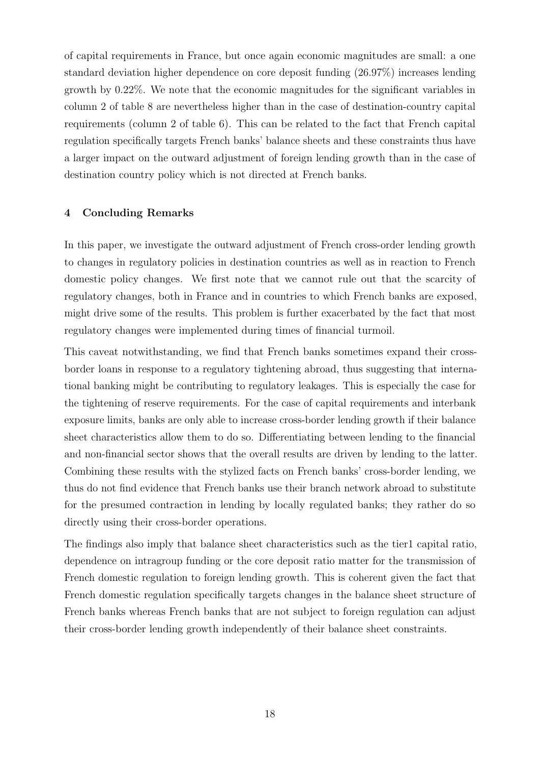of capital requirements in France, but once again economic magnitudes are small: a one standard deviation higher dependence on core deposit funding (26.97%) increases lending growth by 0.22%. We note that the economic magnitudes for the significant variables in column 2 of table [8](#page-31-0) are nevertheless higher than in the case of destination-country capital requirements (column 2 of table [6\)](#page-29-0). This can be related to the fact that French capital regulation specifically targets French banks' balance sheets and these constraints thus have a larger impact on the outward adjustment of foreign lending growth than in the case of destination country policy which is not directed at French banks.

#### 4 Concluding Remarks

In this paper, we investigate the outward adjustment of French cross-order lending growth to changes in regulatory policies in destination countries as well as in reaction to French domestic policy changes. We first note that we cannot rule out that the scarcity of regulatory changes, both in France and in countries to which French banks are exposed, might drive some of the results. This problem is further exacerbated by the fact that most regulatory changes were implemented during times of financial turmoil.

This caveat notwithstanding, we find that French banks sometimes expand their crossborder loans in response to a regulatory tightening abroad, thus suggesting that international banking might be contributing to regulatory leakages. This is especially the case for the tightening of reserve requirements. For the case of capital requirements and interbank exposure limits, banks are only able to increase cross-border lending growth if their balance sheet characteristics allow them to do so. Differentiating between lending to the financial and non-financial sector shows that the overall results are driven by lending to the latter. Combining these results with the stylized facts on French banks' cross-border lending, we thus do not find evidence that French banks use their branch network abroad to substitute for the presumed contraction in lending by locally regulated banks; they rather do so directly using their cross-border operations.

The findings also imply that balance sheet characteristics such as the tier1 capital ratio, dependence on intragroup funding or the core deposit ratio matter for the transmission of French domestic regulation to foreign lending growth. This is coherent given the fact that French domestic regulation specifically targets changes in the balance sheet structure of French banks whereas French banks that are not subject to foreign regulation can adjust their cross-border lending growth independently of their balance sheet constraints.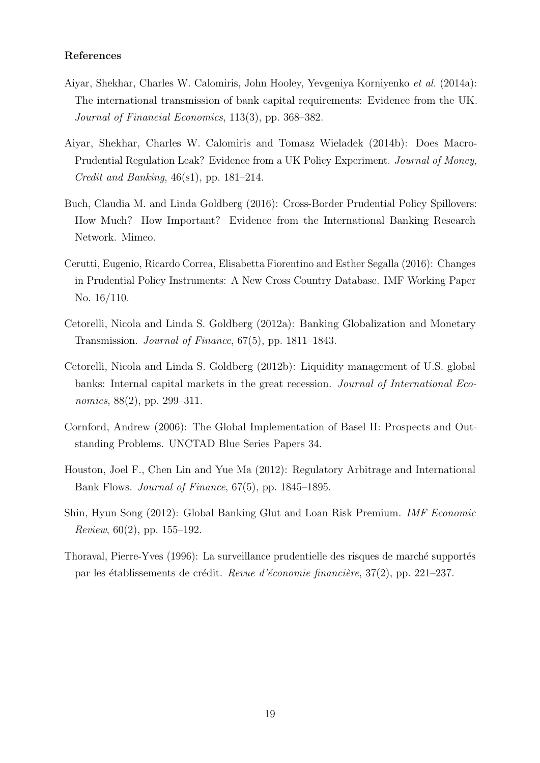#### References

- <span id="page-20-6"></span>Aiyar, Shekhar, Charles W. Calomiris, John Hooley, Yevgeniya Korniyenko et al. (2014a): The international transmission of bank capital requirements: Evidence from the UK. Journal of Financial Economics, 113(3), pp. 368–382.
- <span id="page-20-5"></span>Aiyar, Shekhar, Charles W. Calomiris and Tomasz Wieladek (2014b): Does Macro-Prudential Regulation Leak? Evidence from a UK Policy Experiment. Journal of Money, Credit and Banking,  $46(s1)$ , pp. 181–214.
- <span id="page-20-0"></span>Buch, Claudia M. and Linda Goldberg (2016): Cross-Border Prudential Policy Spillovers: How Much? How Important? Evidence from the International Banking Research Network. Mimeo.
- <span id="page-20-1"></span>Cerutti, Eugenio, Ricardo Correa, Elisabetta Fiorentino and Esther Segalla (2016): Changes in Prudential Policy Instruments: A New Cross Country Database. IMF Working Paper No. 16/110.
- <span id="page-20-2"></span>Cetorelli, Nicola and Linda S. Goldberg (2012a): Banking Globalization and Monetary Transmission. Journal of Finance, 67(5), pp. 1811–1843.
- <span id="page-20-3"></span>Cetorelli, Nicola and Linda S. Goldberg (2012b): Liquidity management of U.S. global banks: Internal capital markets in the great recession. Journal of International Economics, 88(2), pp. 299–311.
- <span id="page-20-7"></span>Cornford, Andrew (2006): The Global Implementation of Basel II: Prospects and Outstanding Problems. UNCTAD Blue Series Papers 34.
- <span id="page-20-4"></span>Houston, Joel F., Chen Lin and Yue Ma (2012): Regulatory Arbitrage and International Bank Flows. Journal of Finance, 67(5), pp. 1845–1895.
- <span id="page-20-9"></span>Shin, Hyun Song (2012): Global Banking Glut and Loan Risk Premium. IMF Economic Review,  $60(2)$ , pp. 155–192.
- <span id="page-20-8"></span>Thoraval, Pierre-Yves (1996): La surveillance prudentielle des risques de marché supportés par les établissements de crédit. Revue d'économie financière,  $37(2)$ , pp. 221–237.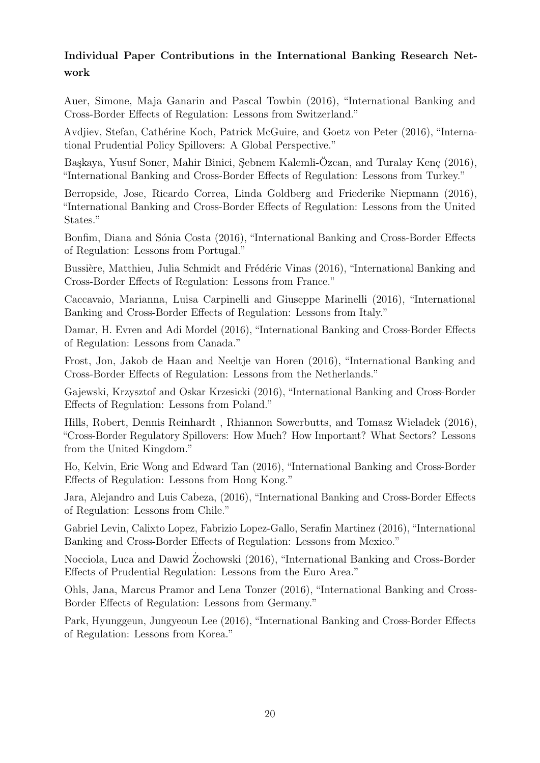## Individual Paper Contributions in the International Banking Research Network

Auer, Simone, Maja Ganarin and Pascal Towbin (2016), "International Banking and Cross-Border Effects of Regulation: Lessons from Switzerland."

Avdjiev, Stefan, Cathérine Koch, Patrick McGuire, and Goetz von Peter (2016), "International Prudential Policy Spillovers: A Global Perspective."

Başkaya, Yusuf Soner, Mahir Binici, Şebnem Kalemli-Özcan, and Turalay Kenç (2016), "International Banking and Cross-Border Effects of Regulation: Lessons from Turkey."

Berropside, Jose, Ricardo Correa, Linda Goldberg and Friederike Niepmann (2016), "International Banking and Cross-Border Effects of Regulation: Lessons from the United States."

Bonfim, Diana and Sónia Costa (2016), "International Banking and Cross-Border Effects of Regulation: Lessons from Portugal."

Bussière, Matthieu, Julia Schmidt and Frédéric Vinas (2016), "International Banking and Cross-Border Effects of Regulation: Lessons from France."

Caccavaio, Marianna, Luisa Carpinelli and Giuseppe Marinelli (2016), "International Banking and Cross-Border Effects of Regulation: Lessons from Italy."

Damar, H. Evren and Adi Mordel (2016), "International Banking and Cross-Border Effects of Regulation: Lessons from Canada."

Frost, Jon, Jakob de Haan and Neeltje van Horen (2016), "International Banking and Cross-Border Effects of Regulation: Lessons from the Netherlands."

Gajewski, Krzysztof and Oskar Krzesicki (2016), "International Banking and Cross-Border Effects of Regulation: Lessons from Poland."

Hills, Robert, Dennis Reinhardt , Rhiannon Sowerbutts, and Tomasz Wieladek (2016), "Cross-Border Regulatory Spillovers: How Much? How Important? What Sectors? Lessons from the United Kingdom."

Ho, Kelvin, Eric Wong and Edward Tan (2016), "International Banking and Cross-Border Effects of Regulation: Lessons from Hong Kong."

Jara, Alejandro and Luis Cabeza, (2016), "International Banking and Cross-Border Effects of Regulation: Lessons from Chile."

Gabriel Levin, Calixto Lopez, Fabrizio Lopez-Gallo, Serafin Martinez (2016), "International Banking and Cross-Border Effects of Regulation: Lessons from Mexico."

Nocciola, Luca and Dawid Zochowski (2016), "International Banking and Cross-Border Effects of Prudential Regulation: Lessons from the Euro Area."

Ohls, Jana, Marcus Pramor and Lena Tonzer (2016), "International Banking and Cross-Border Effects of Regulation: Lessons from Germany."

Park, Hyunggeun, Jungyeoun Lee (2016), "International Banking and Cross-Border Effects of Regulation: Lessons from Korea."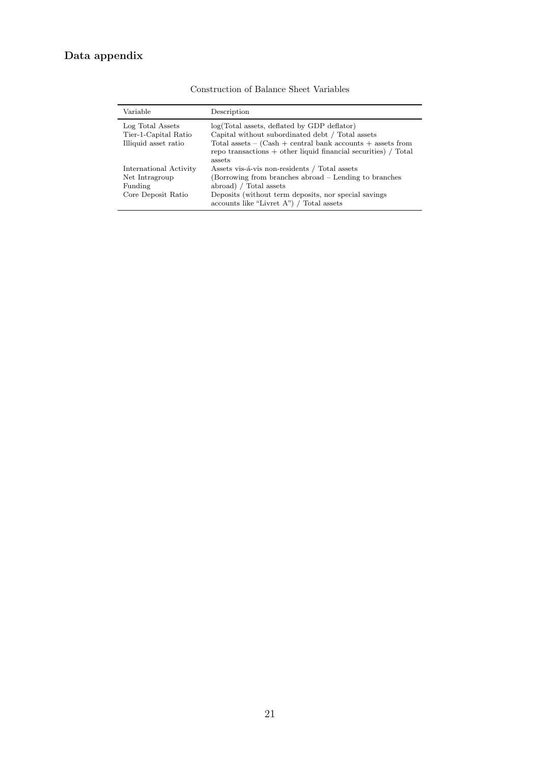| Variable                                                         | Description                                                                                                                                                         |
|------------------------------------------------------------------|---------------------------------------------------------------------------------------------------------------------------------------------------------------------|
| Log Total Assets<br>Tier-1-Capital Ratio<br>Illiquid asset ratio | log(Total assets, deflated by GDP deflator)<br>Capital without subordinated debt / Total assets<br>Total assets $-$ (Cash $+$ central bank accounts $+$ assets from |
|                                                                  | repo transactions $+$ other liquid financial securities) / Total<br>assets                                                                                          |
| International Activity                                           | Assets vis-á-vis non-residents / Total assets                                                                                                                       |
| Net Intragroup                                                   | (Borrowing from branches abroad – Lending to branches                                                                                                               |
| Funding                                                          | abroad) / Total assets                                                                                                                                              |
| Core Deposit Ratio                                               | Deposits (without term deposits, nor special savings)<br>$accounts$ like "Livret A" $)$ / Total assets                                                              |

#### Construction of Balance Sheet Variables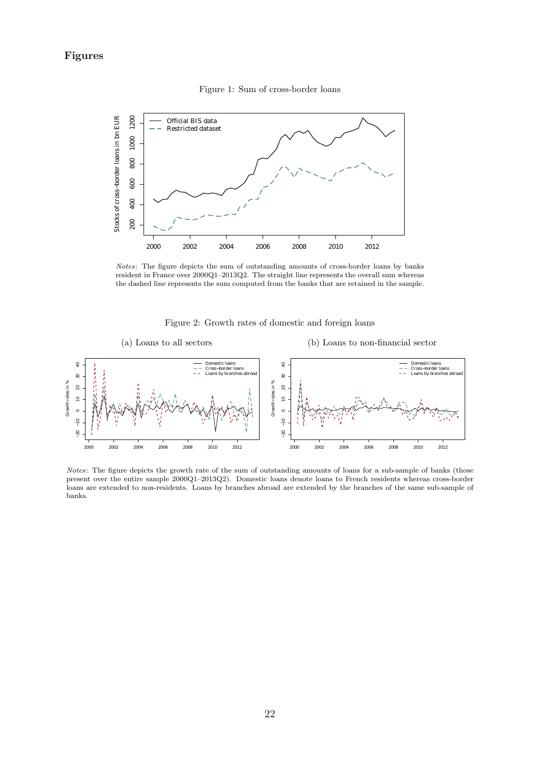

<span id="page-23-1"></span>

Notes: The figure depicts the sum of outstanding amounts of cross-border loans by banks resident in France over 2000Q1–2013Q2. The straight line represents the overall sum whereas the dashed line represents the sum computed from the banks that are retained in the sample.

Figure 2: Growth rates of domestic and foreign loans

<span id="page-23-0"></span>

Notes: The figure depicts the growth rate of the sum of outstanding amounts of loans for a sub-sample of banks (those present over the entire sample 2000Q1–2013Q2). Domestic loans denote loans to French residents whereas cross-border loans are extended to non-residents. Loans by branches abroad are extended by the branches of the same sub-sample of banks.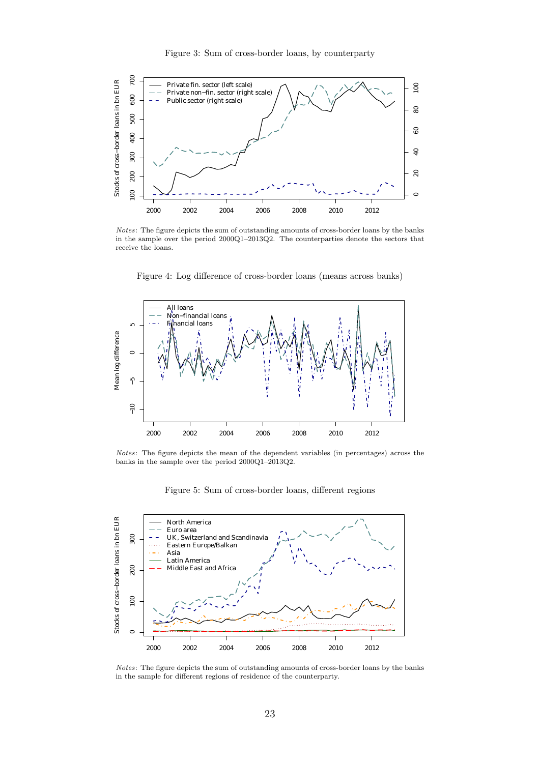<span id="page-24-0"></span>

Notes: The figure depicts the sum of outstanding amounts of cross-border loans by the banks in the sample over the period  $2000Q1-2013Q2$ . The counterparties denote the sectors that receive the loans.

<span id="page-24-1"></span>

Figure 4: Log difference of cross-border loans (means across banks)

Notes: The figure depicts the mean of the dependent variables (in percentages) across the banks in the sample over the period 2000Q1–2013Q2.

Figure 5: Sum of cross-border loans, different regions

<span id="page-24-2"></span>

Notes: The figure depicts the sum of outstanding amounts of cross-border loans by the banks in the sample for different regions of residence of the counterparty.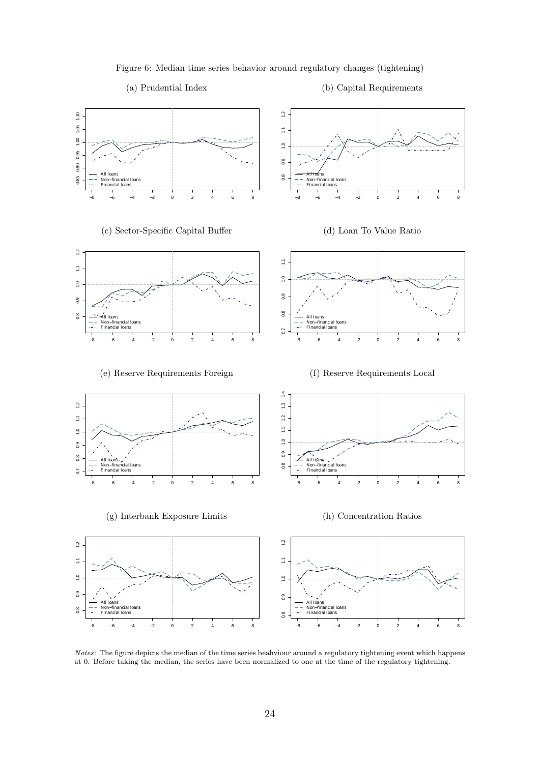<span id="page-25-0"></span>

Figure 6: Median time series behavior around regulatory changes (tightening)

at 0. Before taking the median, the series have been normalized to one at the time of the regulatory tightening.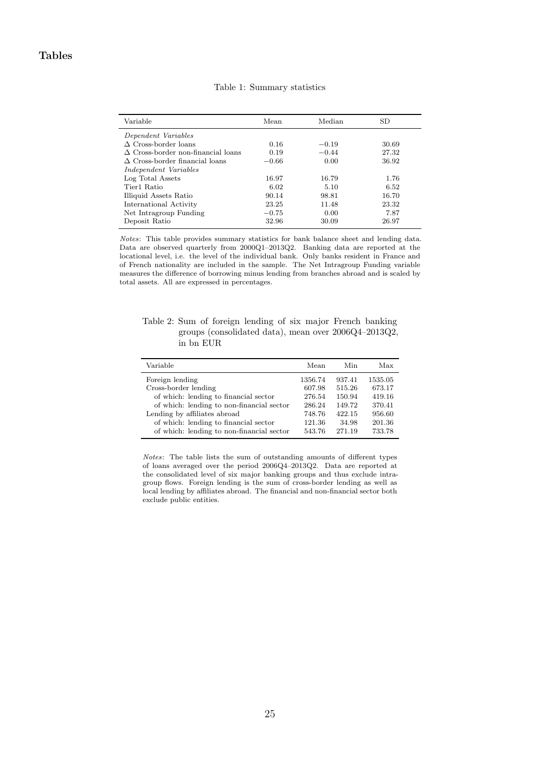<span id="page-26-1"></span>

| Variable                                  | Mean    | Median  | <b>SD</b> |
|-------------------------------------------|---------|---------|-----------|
| Dependent Variables                       |         |         |           |
| $\Lambda$ Cross-border loans              | 0.16    | $-0.19$ | 30.69     |
| $\Delta$ Cross-border non-financial loans | 0.19    | $-0.44$ | 27.32     |
| $\Delta$ Cross-border financial loans     | $-0.66$ | 0.00    | 36.92     |
| <i>Independent Variables</i>              |         |         |           |
| Log Total Assets                          | 16.97   | 16.79   | 1.76      |
| Tier1 Ratio                               | 6.02    | 5.10    | 6.52      |
| Illiquid Assets Ratio                     | 90.14   | 98.81   | 16.70     |
| International Activity                    | 23.25   | 11.48   | 23.32     |
| Net Intragroup Funding                    | $-0.75$ | 0.00    | 7.87      |
| Deposit Ratio                             | 32.96   | 30.09   | 26.97     |
|                                           |         |         |           |

Table 1: Summary statistics

Notes: This table provides summary statistics for bank balance sheet and lending data. Data are observed quarterly from 2000Q1–2013Q2. Banking data are reported at the locational level, i.e. the level of the individual bank. Only banks resident in France and of French nationality are included in the sample. The Net Intragroup Funding variable measures the difference of borrowing minus lending from branches abroad and is scaled by total assets. All are expressed in percentages.

<span id="page-26-0"></span>Table 2: Sum of foreign lending of six major French banking groups (consolidated data), mean over 2006Q4–2013Q2, in bn EUR

| Variable                                                                                                                                                                                               | Mean                                                      | Min                                                     | Max                                                       |
|--------------------------------------------------------------------------------------------------------------------------------------------------------------------------------------------------------|-----------------------------------------------------------|---------------------------------------------------------|-----------------------------------------------------------|
| Foreign lending<br>Cross-border lending<br>of which: lending to financial sector<br>of which: lending to non-financial sector<br>Lending by affiliates abroad<br>of which: lending to financial sector | 1356.74<br>607.98<br>276.54<br>286.24<br>748.76<br>121.36 | 937.41<br>515.26<br>150.94<br>149.72<br>422.15<br>34.98 | 1535.05<br>673.17<br>419.16<br>370.41<br>956.60<br>201.36 |
| of which: lending to non-financial sector                                                                                                                                                              | 543.76                                                    | 271.19                                                  | 733.78                                                    |

Notes: The table lists the sum of outstanding amounts of different types of loans averaged over the period 2006Q4–2013Q2. Data are reported at the consolidated level of six major banking groups and thus exclude intragroup flows. Foreign lending is the sum of cross-border lending as well as local lending by affiliates abroad. The financial and non-financial sector both exclude public entities.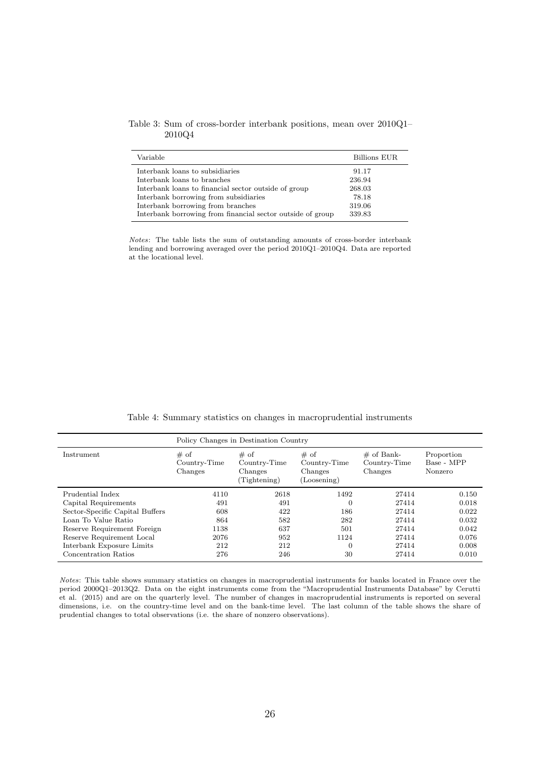<span id="page-27-0"></span>Table 3: Sum of cross-border interbank positions, mean over 2010Q1– 2010Q4

| Variable                                                   | Billions EUR |
|------------------------------------------------------------|--------------|
| Interbank loans to subsidiaries                            | 91.17        |
| Interbank loans to branches                                | 236.94       |
| Interbank loans to financial sector outside of group       | 268.03       |
| Interbank borrowing from subsidiaries                      | 78.18        |
| Interbank borrowing from branches                          | 319.06       |
| Interbank borrowing from financial sector outside of group | 339.83       |

Notes: The table lists the sum of outstanding amounts of cross-border interbank lending and borrowing averaged over the period 2010Q1–2010Q4. Data are reported at the locational level.

Table 4: Summary statistics on changes in macroprudential instruments

|                                 |                                 | Policy Changes in Destination Country           |                                               |                                          |                                     |
|---------------------------------|---------------------------------|-------------------------------------------------|-----------------------------------------------|------------------------------------------|-------------------------------------|
| Instrument                      | # of<br>Country-Time<br>Changes | # of<br>Country-Time<br>Changes<br>(Tightening) | # of<br>Country-Time<br>Changes<br>(Losening) | $\#$ of Bank-<br>Country-Time<br>Changes | Proportion<br>Base - MPP<br>Nonzero |
| Prudential Index                | 4110                            | 2618                                            | 1492                                          | 27414                                    | 0.150                               |
| Capital Requirements            | 491                             | 491                                             | $\Omega$                                      | 27414                                    | 0.018                               |
| Sector-Specific Capital Buffers | 608                             | 422                                             | 186                                           | 27414                                    | 0.022                               |
| Loan To Value Ratio             | 864                             | 582                                             | 282                                           | 27414                                    | 0.032                               |
| Reserve Requirement Foreign     | 1138                            | 637                                             | 501                                           | 27414                                    | 0.042                               |
| Reserve Requirement Local       | 2076                            | 952                                             | 1124                                          | 27414                                    | 0.076                               |
| Interbank Exposure Limits       | 212                             | 212                                             | $\Omega$                                      | 27414                                    | 0.008                               |
| Concentration Ratios            | 276                             | 246                                             | 30                                            | 27414                                    | 0.010                               |

Notes: This table shows summary statistics on changes in macroprudential instruments for banks located in France over the period 2000Q1–2013Q2. Data on the eight instruments come from the "Macroprudential Instruments Database" by Cerutti et al. (2015) and are on the quarterly level. The number of changes in macroprudential instruments is reported on several dimensions, i.e. on the country-time level and on the bank-time level. The last column of the table shows the share of prudential changes to total observations (i.e. the share of nonzero observations).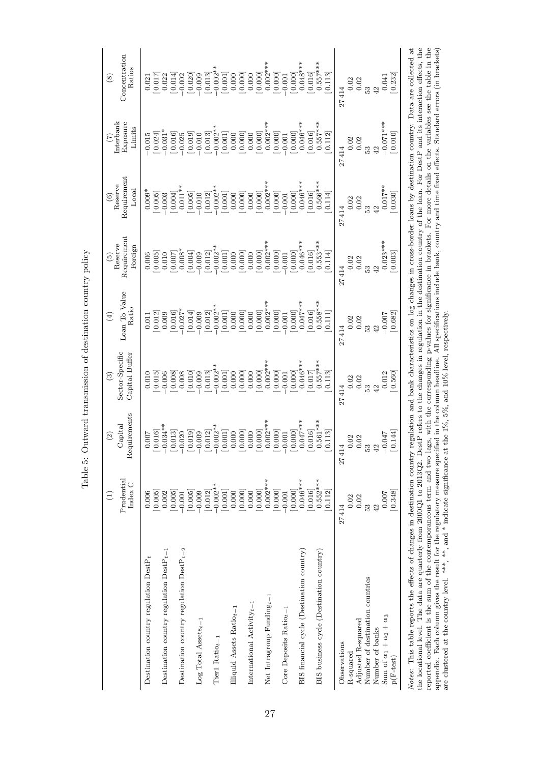|                                                                                                                                                                                                                                                                            | $\widehat{\Xi}$       | $\odot$                     | $\odot$                                                                                                                               | $\bigoplus$                       | $\widetilde{5}$                   | $\circledcirc$                           | $\widetilde{C}$                 | $\circledast$                                  |
|----------------------------------------------------------------------------------------------------------------------------------------------------------------------------------------------------------------------------------------------------------------------------|-----------------------|-----------------------------|---------------------------------------------------------------------------------------------------------------------------------------|-----------------------------------|-----------------------------------|------------------------------------------|---------------------------------|------------------------------------------------|
|                                                                                                                                                                                                                                                                            | Prudential<br>Index C | equirements<br>Capital<br>Æ | Sector-Specific<br>Capital Buffer                                                                                                     | Loan To Value<br>Ratio            | Requirement<br>Reserve<br>Foreign | Requirement<br>Reserve<br>$_{\rm Local}$ | Interbank<br>Exposure<br>Limits | Concentration<br>Ratios                        |
| Destination country regulation $\text{DestP}_t$                                                                                                                                                                                                                            | 0.006                 | $0.007$                     | 0.010                                                                                                                                 | 0.011                             | 0.006                             | $0.009*$                                 | $-0.015$                        | 0.021                                          |
|                                                                                                                                                                                                                                                                            | [0.005]               | [0.016]                     | [0.015]                                                                                                                               | 0.012]                            | 0.005                             | [0.005]                                  | $\left[0.024\right]$            | [710.0]                                        |
| Destination country regulation $\text{DestP}_{t-1}$                                                                                                                                                                                                                        | 0.002                 | $-0.034***$                 | $-0.006$                                                                                                                              | 0.009                             | 0.010                             | $-0.003$                                 | $-0.031*$                       | 0.022                                          |
|                                                                                                                                                                                                                                                                            | [0.005]               | [0.013]                     | [0.008]                                                                                                                               | [0.016]                           | [0.007]                           | [0.004]                                  | [0.016]                         | $\left[0.014\right]$                           |
| Destination country regulation $\text{DestP}_{t-2}$                                                                                                                                                                                                                        | [0.005]<br>$-0.001$   | [0.019]<br>$-0.020$         | [0.010]<br>0.008                                                                                                                      | $-0.027*$<br>$\left[0.014\right]$ | $0.008*$<br>[0.004]               | $0.011***$<br>[0.005]                    | [0.019]<br>$-0.025$             | [0.020]<br>$-0.002$                            |
| $Log Total Asset-1$                                                                                                                                                                                                                                                        | $-0.009$              | $-0.009$                    | $-0.009$                                                                                                                              | $-0.009$                          | $-0.009$                          | $-0.010$                                 | $-0.010$                        | $-0.009$                                       |
|                                                                                                                                                                                                                                                                            | [0.012]               | $\left[0.012\right]$        | [0.013]                                                                                                                               | [0.012]                           | [0.012]                           | [0.012]                                  | [0.013]                         | [0.013]                                        |
| Tier1 $Ratio_{t-1}$                                                                                                                                                                                                                                                        | $-0.002**$            | $-0.002**$                  | $-0.002**$                                                                                                                            | $-0.002**$                        | $-0.002**$                        | $-0.002**$                               | $-0.002**$                      | $-0.002**$                                     |
|                                                                                                                                                                                                                                                                            | [0.001]               | [0.001]                     | [0.001]                                                                                                                               | [0.001]                           | [0.001]                           | [0.001]                                  | [0.001]                         | $[0.001]$                                      |
| Illiquid Assets $Ratio_{t-1}$                                                                                                                                                                                                                                              | 0.000                 | 0.000                       | 0.000                                                                                                                                 | 0.000                             | 0.000                             | 0.000                                    | 0.000                           | $\begin{bmatrix} 0.000 \\ 0.000 \end{bmatrix}$ |
| International $Activity_{t-1}$                                                                                                                                                                                                                                             | [0.000]<br>0.000      | [0.000]<br>0.000            | [0.000]<br>0.000                                                                                                                      | 0.000<br>0.000                    | [0.000]<br>0.000                  | [0.000]<br>0.000                         | [0.000]<br>0.000                | 0.000                                          |
|                                                                                                                                                                                                                                                                            | [0.000]               | [0.000]                     | [0.000]                                                                                                                               | 0.000                             | [0.000]                           | [0.000]                                  | [0.000]                         | [0.000]                                        |
| Net Intragroup Funding <sub>t-1</sub>                                                                                                                                                                                                                                      | $0.002***$            | $0.002***$                  | $0.002***$                                                                                                                            | $0.002***$                        | $0.002***$                        | $0.002***$                               | $0.002***$                      | $0.002***$                                     |
|                                                                                                                                                                                                                                                                            | [0.000]               | [0.000]                     | [0.000]                                                                                                                               | [0.000]                           | [0.000]                           | [0.000]                                  | $\left[0.000\right]$            | [0.000]                                        |
| Core Deposits $Ratio_{t-1}$                                                                                                                                                                                                                                                | $-0.001$              | $-0.001$                    | $-0.001$                                                                                                                              | $-0.001$                          | $-0.001$                          | $-0.001$                                 | $-0.001$                        | $-0.001$                                       |
|                                                                                                                                                                                                                                                                            | [0.000]               | [0.000]                     | [0.000]                                                                                                                               | 0.000                             | [0.000]                           | [0.000]                                  | [0.000]                         | [0.000]                                        |
| BIS financial cycle (Destination country)                                                                                                                                                                                                                                  | $0.046***$            | $0.047***$                  | $0.046***$                                                                                                                            | $0.047***$                        | $0.046***$                        | $0.046***$                               | $0.046***$                      | $0.048***$                                     |
|                                                                                                                                                                                                                                                                            | [0.016]               | [9.016]                     | 0.017                                                                                                                                 | 0.016                             | 0.016                             | 0.016                                    | 0.016                           | [0.016]                                        |
| BIS business cycle (Destination country)                                                                                                                                                                                                                                   | $0.552***$            | $0.561***$                  | $0.557***$                                                                                                                            | $0.558***$                        | $0.553***$                        | $0.566***$                               | $0.557***$                      | $0.557***$                                     |
|                                                                                                                                                                                                                                                                            | 0.112                 | [0.113]                     | 0.113                                                                                                                                 | 0.111                             | 0.114                             | 0.114                                    | 0.112                           | [0.113]                                        |
| Observations                                                                                                                                                                                                                                                               | 27414                 | 27414                       | 27414                                                                                                                                 | 27414                             | 27414                             | 27414                                    | 27414                           | 27414                                          |
| R-squared                                                                                                                                                                                                                                                                  | 0.02                  | 0.02                        | 0.02                                                                                                                                  | 0.02                              | 0.02                              | 0.02                                     | 0.02                            | 0.02                                           |
| Adjusted R-squared                                                                                                                                                                                                                                                         | 0.02                  | 0.02                        | $0.02\,$                                                                                                                              | 0.02                              | 0.02                              | 0.02                                     | 0.02                            | 0.02                                           |
| Number of destination countries                                                                                                                                                                                                                                            | 53                    | 53                          | 53                                                                                                                                    | S3                                | S3                                | S3                                       | S3                              | 53                                             |
| Number of banks                                                                                                                                                                                                                                                            | 42                    | 42                          | $\ddot{4}$                                                                                                                            | 42                                | 42                                | 42                                       | 42                              | 42                                             |
| Sum of $\alpha_1 + \alpha_2 + \alpha_3$                                                                                                                                                                                                                                    | 0.007                 | $-0.047$                    | 0.012                                                                                                                                 | $-0.007$                          | $0.023***$                        | $0.017**$                                | $-0.071***$                     | 0.041                                          |
| $p(F-test)$                                                                                                                                                                                                                                                                | [0.348]               | [0.144]                     | [0.560]                                                                                                                               | [0.682]                           | [0.003]                           | 0.030                                    | [0.010]                         | [0.232]                                        |
| Notes: This table reports the effects of changes in destination country regulation and bank characteristics on log changes in cross-border loans by destination country. Data are collected at<br>the locational lavel. The data are quarterly from $200001$ to $201302$ . |                       |                             | DestP refers to the changes in regulation in the destination country of the loan $\mathbb{R}^n$ PestP and its interaction effects the |                                   |                                   |                                          |                                 |                                                |
|                                                                                                                                                                                                                                                                            |                       |                             |                                                                                                                                       |                                   |                                   |                                          |                                 |                                                |

Table 5: Outward transmission of destination country policy

Table 5: Outward transmission of destination country policy

Notes: This table reports the effects of changes in destination country regulation and bank characteristics on log changes in cross-border loans by destination country. Data are collected at the locational level. The data Notes: This table reports the effects of changes in destination country regulation and bank characteristics on log changes in cross-border loans by destination country. Data are collected at the locational level. The data are quarterly from 2000Q1 to 2013Q2. DestP refers to the changes in regulation in the destination country of the loan. For DestP and its interaction effects, the reported coefficient is the sum of the contemporaneous term and two lags, with the corresponding p-values for significance in brackets. For more details on the variables see the table in the appendix. Each column gives the result for the regulatory measure specified in the column headline. All specifications include bank, country and time fixed effects. Standard errors (in brackets) are clustered at the country level. \*\*\*, \*\*, and \* indicate significance at the 1%, 5%, and 10% level, respectively.

<span id="page-28-0"></span>27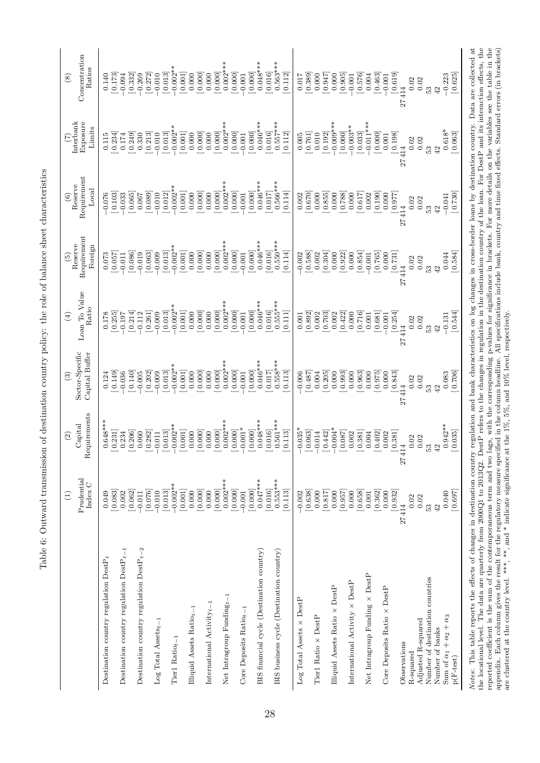<span id="page-29-0"></span>Table 6: Outward transmission of destination country policy: the role of balance sheet characteristics Table 6: Outward transmission of destination country policy: the role of balance sheet characteristics

|                                                                                                                                                                                                    | Prudential<br>Index C<br>$\begin{pmatrix} 1 \end{pmatrix}$ | Requirements<br>Capital<br>$\widetilde{c}$ | Sector-Specific<br>Capital Buffer<br>$\widehat{\mathcal{E}}$ | Loan To Value<br>Ratio<br>$\left( 4\right)$ | Requirement<br>Reserve<br>Foreign<br>$\widehat{5}$ | Requirement<br>Reserve<br>Local<br>$\widehat{\circ}$                                                                       | Interbank<br>Exposure<br>Limits | Concentration<br>Ratios<br>$\circled{s}$                                                                                    |
|----------------------------------------------------------------------------------------------------------------------------------------------------------------------------------------------------|------------------------------------------------------------|--------------------------------------------|--------------------------------------------------------------|---------------------------------------------|----------------------------------------------------|----------------------------------------------------------------------------------------------------------------------------|---------------------------------|-----------------------------------------------------------------------------------------------------------------------------|
| Destination country regulation $\text{DestP}_t$                                                                                                                                                    | 0.049                                                      | $0.648***$                                 | 0.124                                                        | 0.178                                       | 0.073                                              | $-0.076$                                                                                                                   | 0.115                           | 0.140                                                                                                                       |
|                                                                                                                                                                                                    | [0.083]                                                    | 0.231]<br>0.234                            | [0.149]                                                      | [0.255]<br>$-0.197$                         | [250.0]                                            | [0.103]                                                                                                                    | [0.234]                         | [0.173]                                                                                                                     |
| Destination country regulation $\mathrm{DestP}_{t-1}$                                                                                                                                              | [0.062]<br>0.002                                           | [0.206]                                    | [0.140]<br>$-0.036$                                          | 0.214                                       | [0.086]<br>$-0.011$                                | [0.065]<br>$-0.033$                                                                                                        | [0.249]<br>0.174                | [0.332]<br>$-0.094$                                                                                                         |
| Destination country regulation $\text{DestP}_{t-2}$                                                                                                                                                | $-0.011$                                                   | 0.060                                      | $-0.005$                                                     | $-0.112$                                    | $-0.019$                                           | 0.067                                                                                                                      | 0.330                           | $-0.269$                                                                                                                    |
| $Log Total Assets_{t-1}$                                                                                                                                                                           | [0.076]<br>$-0.010$                                        | [0.282]<br>$-0.011$                        | [0.202]<br>$-0.009$                                          | [0.261]<br>$-0.009$                         | [0.063]<br>$-0.009$                                | [0.089]<br>$-0.010$                                                                                                        | [0.213]<br>$-0.010$             | [0.272]<br>$-0.010$                                                                                                         |
|                                                                                                                                                                                                    | [0.013]                                                    | [0.013]                                    | [0.013]                                                      | [0.013]                                     | [0.013]                                            | [0.012]                                                                                                                    | [0.013]                         | [0.013]                                                                                                                     |
| Tier<br>1<br>$\mbox{Ratio}_{t-1}$                                                                                                                                                                  | $-0.002**$<br>[0.001]                                      | $-0.002**$<br>[0.001]                      | $-0.002**$<br>[100.0]                                        | $-0.002**$<br>[0.001]                       | $-0.002**$<br>[100.0]                              | $-0.002**$<br>[0.001]                                                                                                      | $-0.002**$<br>[100.0]           | $-0.002**$<br>[0.001]                                                                                                       |
| Illiquid Assets Ratio <sub>t-1</sub>                                                                                                                                                               | 0.000                                                      | 0.000                                      | 0.000                                                        | 0.000                                       | 0.000                                              | 0.000                                                                                                                      | 0.000                           | 0.000                                                                                                                       |
|                                                                                                                                                                                                    | [0.000]                                                    | [0.000]                                    | 0.000                                                        | [0.000]                                     | [0.000]                                            | 0.000                                                                                                                      | [0.000]                         | [0.000]                                                                                                                     |
| International $Activity_{t-1}$                                                                                                                                                                     | [0.000]<br>0.000                                           | [0.000]<br>0.000                           | 0.000<br>0.000                                               | [0.000]<br>0.000                            | [0.000]<br>0.000                                   | 0.000<br>0.000                                                                                                             | [0.000]<br>0.000                | [0.000]<br>0.000                                                                                                            |
| Net Intragroup Funding <sub>t-1</sub>                                                                                                                                                              | $0.002***$                                                 | $0.002***$                                 | $0.002***$                                                   | $0.002***$                                  | $0.002***$                                         | $0.002***$                                                                                                                 | $0.002***$                      | $0.002***$                                                                                                                  |
| Core Deposits Ratio $_{t-1}$                                                                                                                                                                       | [0.000]<br>$-0.001$                                        | $-0.001*$<br>[0.000]                       | [0.000]<br>$-0.001$                                          | [0.000]<br>$-0.001$                         | [0.000]<br>$-0.001$                                | [0.000]<br>$-0.001$                                                                                                        | [0.000]<br>$-0.001$             | [0.000]<br>$-0.001$                                                                                                         |
|                                                                                                                                                                                                    | [0.000]                                                    | [0.000]                                    | [0.000]                                                      | 0.000                                       | [0.000]                                            | 0.000                                                                                                                      | [0.000]                         | [0.000]                                                                                                                     |
| BIS financial cycle (Destination country)                                                                                                                                                          | $0.047***$                                                 | $0.048***$                                 | $0.046***$                                                   | $0.046***$                                  | $0.046***$                                         | $0.046***$                                                                                                                 | $0.046***$                      | $0.048***$                                                                                                                  |
| BIS business cycle (Destination country)                                                                                                                                                           | $0.553***$<br>[0.016]                                      | $0.561***$<br>0.016                        | $0.558***$<br>0.017                                          | $0.555***$<br>0.016                         | $0.550***$<br>0.016                                | $0.566***$<br>0.017                                                                                                        | $0.557***$<br>0.016             | $0.563***$<br>[0.016]                                                                                                       |
|                                                                                                                                                                                                    | 0.113                                                      | [0.113]                                    | 0.113                                                        | 0.111                                       | 0.114                                              | 0.114                                                                                                                      | 0.112                           | 0.112                                                                                                                       |
| $Log Total Assets \times DestP$                                                                                                                                                                    | $-0.002$                                                   | $-0.035*$                                  | 0.006                                                        | 0.001                                       | $-0.002$                                           | 0.002                                                                                                                      | 0.005                           | 0.017                                                                                                                       |
|                                                                                                                                                                                                    | 0.638                                                      | [0.063]                                    | 0.487                                                        | 0.892                                       | 0.588                                              | 0.670                                                                                                                      | 0.761                           | 0.389                                                                                                                       |
| Tier1 Ratio × DestP                                                                                                                                                                                | 0.000                                                      | $-0.014$                                   | 0.004                                                        | 0.002                                       | 0.002                                              | 0.000                                                                                                                      | 0.010                           | 0.000                                                                                                                       |
| Illiquid Assets Ratio × DestP                                                                                                                                                                      | [718.0]<br>0.000                                           | $-0.004*$<br>[0.442]                       | 0.205<br>0.000                                               | 0.703<br>0.002                              | 0.304<br>0.000                                     | 0.855<br>0.000                                                                                                             | $-0.009***$<br>[0.192]          | [0.947]<br>0.000                                                                                                            |
|                                                                                                                                                                                                    | [736.0]                                                    | [0.087]                                    | 0.993                                                        | 0.422                                       | 0.922                                              | 0.788                                                                                                                      | [0.000]                         | [0.905]                                                                                                                     |
| International Activity × DestP                                                                                                                                                                     | 0.000                                                      | 0.002                                      | 0.000                                                        | 0.000                                       | 0.000                                              | 0.000                                                                                                                      | $-0.003**$                      | $-0.001$                                                                                                                    |
|                                                                                                                                                                                                    | 0.658                                                      | [0.381]                                    | 0.963]<br>0.000                                              | [0.716]                                     | 0.854<br>$-0.001$                                  | 0.617<br>0.002                                                                                                             | [0.033]                         | [0.576]                                                                                                                     |
| Net Intragroup Funding $\times$ DestP                                                                                                                                                              | 0.362<br>$\,0.001$                                         | 0.402<br>0.004                             | 0.975                                                        | 0.681<br>0.001                              | 0.765                                              | 0.190                                                                                                                      | $-0.011***$<br>0.000            | [0.463]<br>0.004                                                                                                            |
| Core Deposits Ratio x DestP                                                                                                                                                                        | 0.000                                                      | 0.002                                      | 0.000                                                        | $-0.001$                                    | 0.000                                              | 0.000                                                                                                                      | 0.001                           | $-0.001$                                                                                                                    |
|                                                                                                                                                                                                    | [0.932]                                                    | [0.381]                                    | 0.843                                                        | [0.254]                                     | $[0.731]$                                          | 0.977                                                                                                                      | [0.198]                         | [0.619]                                                                                                                     |
| Observations                                                                                                                                                                                       | 27414                                                      | 27414                                      | 27414                                                        | 27414                                       | 27414                                              | 27414                                                                                                                      | 27414                           | 27414                                                                                                                       |
| R-squared                                                                                                                                                                                          | 0.02                                                       | 0.02                                       | 0.02                                                         | 0.02                                        | $0.02\,$                                           | 0.02                                                                                                                       | 0.02                            | 0.02                                                                                                                        |
| Adjusted R-squared                                                                                                                                                                                 | 0.02                                                       | 0.02                                       | 0.02                                                         | 0.02                                        | 0.02                                               | 0.02                                                                                                                       | 0.02                            | 0.02                                                                                                                        |
| Number of destination countries                                                                                                                                                                    | 53<br>42                                                   | 53                                         | 53                                                           | 53                                          | 53                                                 | 33                                                                                                                         | 53                              | 53                                                                                                                          |
| Sum of $\alpha_1+\alpha_2+\alpha_3$<br>Number of banks                                                                                                                                             | 0.040                                                      | $0.942**$<br>42                            | 0.083<br>42                                                  | $-0.131$<br>42                              | 0.044<br>42                                        | $-0.041$<br>42                                                                                                             | $0.618*$<br>42                  | $-0.223$<br>42                                                                                                              |
| $p(F-test)$                                                                                                                                                                                        | [0.697]                                                    | [0.035]                                    | 0.706                                                        | [0.544]                                     | 0.584                                              | [0.730]                                                                                                                    | [0.063]                         | [0.625]                                                                                                                     |
|                                                                                                                                                                                                    |                                                            |                                            |                                                              |                                             |                                                    |                                                                                                                            |                                 |                                                                                                                             |
| Notes: This table reports the effects of changes in destination country<br>the locational level. The data are quarterly from $2000Q1$ to $2013Q2$ . D                                              |                                                            |                                            |                                                              |                                             |                                                    | regulation and bank characteristics on log changes in cross-border loans by destination country. Data are collected at     |                                 | estP refers to the changes in regulation in the destination country of the loan. For DestP and its interaction effects, the |
| reported coefficient is the sum of the contemporaneous term and two                                                                                                                                |                                                            |                                            |                                                              |                                             |                                                    | lags, with the corresponding p-values for significance in brackets. For more details on the variables see the table in the |                                 |                                                                                                                             |
| appendix. Each column gives the result for the regulatory measure specified in the column headline. All specifications include bank, country and time fixed effects. Standard errors (in brackets) |                                                            |                                            |                                                              |                                             |                                                    |                                                                                                                            |                                 |                                                                                                                             |
| are clustered at the country level. ***, **, and * indicate significance at the 1%, 5%, and 10% level, respectively.                                                                               |                                                            |                                            |                                                              |                                             |                                                    |                                                                                                                            |                                 |                                                                                                                             |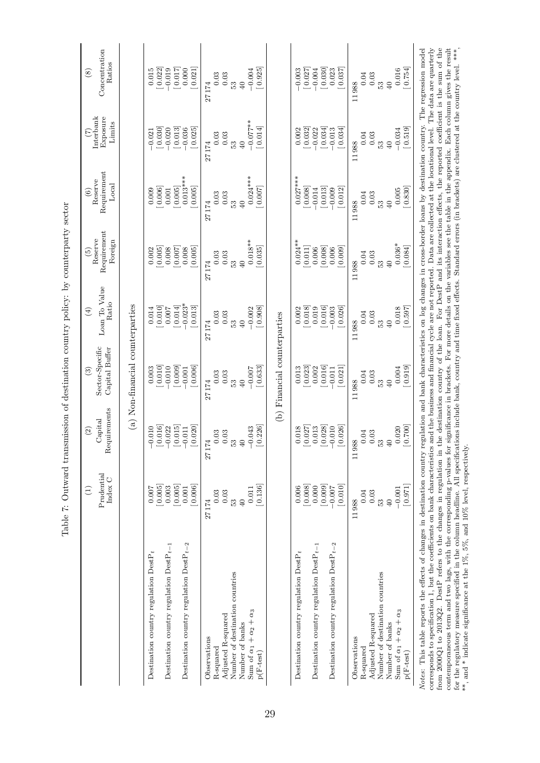<span id="page-30-0"></span>Table 7: Outward transmission of destination country policy: by counterparty sector Table 7: Outward transmission of destination country policy: by counterparty sector

|                                                                                                                                                                                                                                                                                                                                                                                                                                                                                                                                                                                                                                                                                                                                                                                                                                                                                                                                                                         | Prudential<br>Index C<br>$\widehat{\Xi}$ | Requirements<br>Capital<br>$\odot$                | Sector-Specific<br>Capital Buffer<br>$\widehat{c}$                                                                    | Loan To Value<br>Ratio<br>$\bigoplus$   | Requirement<br>Reserve<br>Foreign<br>$\widehat{e}$ | Requirement<br>Reserve<br>Local<br>$\odot$ | Interbank<br>Exposure<br>Limits<br>E       | Concentration<br>Ratios<br>$\circledast$ |
|-------------------------------------------------------------------------------------------------------------------------------------------------------------------------------------------------------------------------------------------------------------------------------------------------------------------------------------------------------------------------------------------------------------------------------------------------------------------------------------------------------------------------------------------------------------------------------------------------------------------------------------------------------------------------------------------------------------------------------------------------------------------------------------------------------------------------------------------------------------------------------------------------------------------------------------------------------------------------|------------------------------------------|---------------------------------------------------|-----------------------------------------------------------------------------------------------------------------------|-----------------------------------------|----------------------------------------------------|--------------------------------------------|--------------------------------------------|------------------------------------------|
|                                                                                                                                                                                                                                                                                                                                                                                                                                                                                                                                                                                                                                                                                                                                                                                                                                                                                                                                                                         |                                          |                                                   | (a) Non-financial counterparties                                                                                      |                                         |                                                    |                                            |                                            |                                          |
| Destination country regulation $\text{DestP}_t$                                                                                                                                                                                                                                                                                                                                                                                                                                                                                                                                                                                                                                                                                                                                                                                                                                                                                                                         | [0.005]<br>0.007                         | [0.016]<br>$-0.010$                               | $[0.010]$<br>0.003                                                                                                    | [0.010]<br>0.014                        | 0.005<br>0.002                                     | 0.006<br>0.009                             | [0.030]<br>$-0.021$                        | [0.022]<br>0.015                         |
| Destination country regulation $\text{DestP}_{t-1}$                                                                                                                                                                                                                                                                                                                                                                                                                                                                                                                                                                                                                                                                                                                                                                                                                                                                                                                     | [0.005]<br>0.003                         | [0.015]<br>$-0.022$                               | [0.009]<br>$-0.010$                                                                                                   | 0.007                                   | [0.007]<br>0.008                                   | [0.005]<br>0.001                           | $-0.020$                                   | [0.017]<br>$-0.019$                      |
| Destination country regulation $\text{DestP}_{t-2}$                                                                                                                                                                                                                                                                                                                                                                                                                                                                                                                                                                                                                                                                                                                                                                                                                                                                                                                     | [0.006]<br>0.001                         | $\begin{bmatrix} 0.020 \end{bmatrix}$<br>$-0.011$ | [0.006]<br>$-0.001$                                                                                                   | $-0.023*$<br>[0.014]<br>[0.013]         | [0.005]<br>0.008                                   | $0.013***$<br>[0.005]                      | [0.025]<br>$[0.013]$<br>$-0.036$           | 0.021<br>0.000                           |
| Observations<br>R-squared                                                                                                                                                                                                                                                                                                                                                                                                                                                                                                                                                                                                                                                                                                                                                                                                                                                                                                                                               | 0.03<br>27174                            | 0.03<br>174<br>27 <sub>1</sub>                    | 0.03<br>27174                                                                                                         | 0.03<br>27174                           | 0.03<br>27174                                      | 0.03<br>27174                              | 0.03<br>27174                              | 0.03<br>27174                            |
| Number of destination countries<br>Adjusted R-squared<br>Number of banks                                                                                                                                                                                                                                                                                                                                                                                                                                                                                                                                                                                                                                                                                                                                                                                                                                                                                                | 0.03<br>53<br>$\overline{40}$            | 0.03<br>53<br>$\overline{40}$                     | 0.03<br>$\overline{40}$<br>53                                                                                         | 0.03<br>$\overline{40}$<br>53           | 0.03<br>53<br>$\overline{40}$                      | 0.03<br>53<br>40                           | 0.03<br>33<br>$\overline{40}$              | 0.03<br>53<br>$40\,$                     |
| Sum of $\alpha_1 + \alpha_2 + \alpha_3$<br>$p(F-test)$                                                                                                                                                                                                                                                                                                                                                                                                                                                                                                                                                                                                                                                                                                                                                                                                                                                                                                                  | [0.136]<br>0.011                         | [0.226]<br>$-0.043$                               | [0.633]<br>$-0.007$                                                                                                   | [0.908]<br>$-0.002$                     | $0.018**$<br>0.035                                 | $0.024***$<br>0.007                        | $-0.077**$<br>[0.014]                      | 0.925<br>$-0.004$                        |
|                                                                                                                                                                                                                                                                                                                                                                                                                                                                                                                                                                                                                                                                                                                                                                                                                                                                                                                                                                         |                                          |                                                   | (b) Financial counterparties                                                                                          |                                         |                                                    |                                            |                                            |                                          |
| Destination country regulation $\text{DestP}_t$                                                                                                                                                                                                                                                                                                                                                                                                                                                                                                                                                                                                                                                                                                                                                                                                                                                                                                                         | [0.008]<br>0.006                         | [0.027]<br>0.018                                  | [0.023]<br>0.013                                                                                                      | [0.018]<br>0.002                        | $0.024***$<br>[0.011]                              | $0.027***$<br>[0.008]                      | [0.032]<br>0.002                           | [0.027]<br>$-0.003$                      |
| Destination country regulation $\text{DestP}_{t-2}$<br>Destination country regulation $\text{DestP}_{t-1}$                                                                                                                                                                                                                                                                                                                                                                                                                                                                                                                                                                                                                                                                                                                                                                                                                                                              | [0.009]<br>[0.010]<br>0.000<br>$-0.007$  | [0.028]<br>0.013<br>[0.026]<br>$-0.010$           | [0.016]<br>[0.021]<br>0.002<br>$-0.011$                                                                               | [0.016]<br>[0.026]<br>0.019<br>$-0.003$ | [0.008]<br>[0.009]<br>0.006<br>0.006               | [0.013]<br>[0.012]<br>$-0.014$<br>$-0.009$ | [0.034]<br>[0.034]<br>$-0.022$<br>$-0.013$ | [0.030]<br>[0.037]<br>$-0.004$<br>0.023  |
| Observations                                                                                                                                                                                                                                                                                                                                                                                                                                                                                                                                                                                                                                                                                                                                                                                                                                                                                                                                                            | 11988                                    | 11988                                             | 11988                                                                                                                 | 11988                                   | 11988                                              | 11988                                      | 11988                                      | 11988                                    |
| Adjusted R-squared<br>R-squared                                                                                                                                                                                                                                                                                                                                                                                                                                                                                                                                                                                                                                                                                                                                                                                                                                                                                                                                         | 0.03<br>0.04                             | 0.04<br>0.03                                      | 0.04<br>0.03                                                                                                          | 0.04<br>0.03                            | 0.03<br>0.04                                       | 0.04<br>0.03                               | 0.03<br>0.04                               | 0.04<br>0.03                             |
| Number of destination countries<br>Number of banks                                                                                                                                                                                                                                                                                                                                                                                                                                                                                                                                                                                                                                                                                                                                                                                                                                                                                                                      | 53<br>40                                 | 53<br>$\overline{40}$                             | 53<br>40                                                                                                              | 53<br>$\overline{40}$                   | 53<br>$\overline{40}$                              | 53<br>$\overline{40}$                      | 53<br>$\overline{40}$                      | 53<br>40                                 |
| Sum of $\alpha_1+\alpha_2+\alpha_3$<br>$p(F-test)$                                                                                                                                                                                                                                                                                                                                                                                                                                                                                                                                                                                                                                                                                                                                                                                                                                                                                                                      | [178.0]<br>$-0.001$                      | [0.700]<br>0.020                                  | [0.919]<br>0.004                                                                                                      | [0.597]<br>0.018                        | $0.036*$<br>[0.084]                                | [0.830]<br>0.005                           | [0.519]<br>$-0.034$                        | [1527.0]<br>0.016                        |
| from 2000Q1 to 2013Q2. DestP refers to the changes in regulation in the destination country of the loan. For DestP and its interaction effects, the reported coefficient is the sum of the<br>contemporaneous term and two lags, with the corresponding p-values for significance in brackets. For more details on the variables see the table in the appendix. Each column gives the result<br>corresponds to specification 1, but the coefficients on bank characteristics and the business and financial cycle are not reported. Data are collected at the locational level. The data are quarterly<br>for the regulatory measure specified in the column headline. All specifications include bank, country and time fixed effects. Standard errors (in brackets) are clustered at the country level. ***,<br>**, and * indicate significance at the 1%, 5%, and 10% level, respectively<br>Notes: This table reports the effects of changes in destination country |                                          |                                                   | regulation and bank characteristics on log changes in cross-border loans by destination country. The regression model |                                         |                                                    |                                            |                                            |                                          |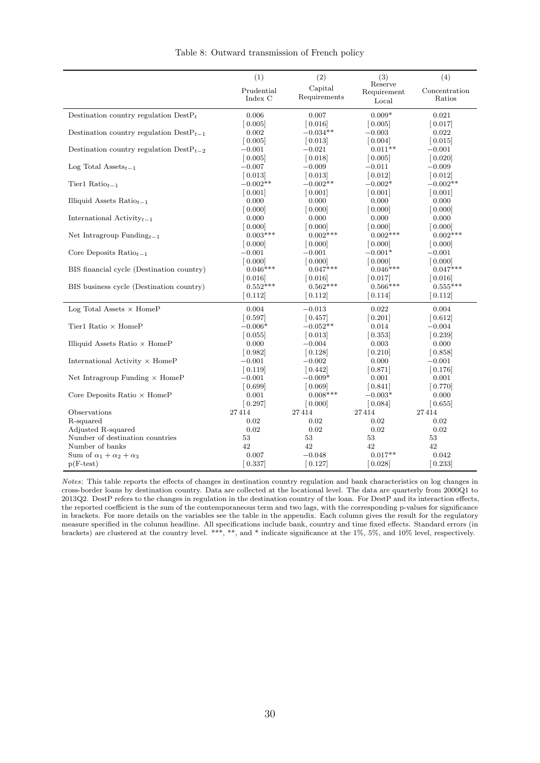<span id="page-31-0"></span>

|                                                     | (1)                                 | (2)                                 | (3)                               | (4)                                 |
|-----------------------------------------------------|-------------------------------------|-------------------------------------|-----------------------------------|-------------------------------------|
|                                                     | Prudential                          | Capital                             | Reserve<br>Requirement            | Concentration                       |
|                                                     | Index C                             | Requirements                        | Local                             | Ratios                              |
| Destination country regulation $\text{DestP}_t$     | 0.006                               | 0.007                               | $0.009*$                          | 0.021                               |
|                                                     | [0.005]                             | [0.016]                             | [0.005]                           | $\left[0.017\right]$                |
| Destination country regulation $\text{DestP}_{t-1}$ | 0.002                               | $-0.034**$                          | $-0.003$                          | 0.022                               |
|                                                     | [0.005]                             | $\left[0.013\right]$                | [0.004]                           | $\left[0.015\right]$                |
| Destination country regulation $\text{DestP}_{t-2}$ | $-0.001$                            | $-0.021$                            | $0.011**$                         | $-0.001$                            |
|                                                     | $\lceil 0.005 \rceil$               | [0.018]                             | [0.005]                           | $\left[0.020\right]$                |
| Log Total $\text{Assets}_{t-1}$                     | $-0.007$                            | $-0.009$                            | $-0.011$                          | $-0.009$                            |
|                                                     | $\lceil 0.013 \rceil$<br>$-0.002**$ | $\lceil 0.013 \rceil$<br>$-0.002**$ | $\left[0.012\right]$<br>$-0.002*$ | $\lceil 0.012 \rceil$<br>$-0.002**$ |
| Tier1 Ratio $_{t-1}$                                |                                     |                                     |                                   |                                     |
| Illiquid Assets Ratio $_{t-1}$                      | [0.001]<br>0.000                    | $\lceil 0.001 \rceil$<br>0.000      | [0.001]<br>0.000                  | $\lceil 0.001 \rceil$<br>0.000      |
|                                                     | $\left[0.000\right]$                | [0.000]                             | $\left[0.000\right]$              | $\left[0.000\right]$                |
| International Activity $_{t-1}$                     | 0.000                               | 0.000                               | 0.000                             | 0.000                               |
|                                                     | 0.000                               | [0.000]                             | [0.000]                           | [0.000]                             |
| Net Intragroup Funding $_{t-1}$                     | $0.003***$                          | $0.002***$                          | $0.002***$                        | $0.002***$                          |
|                                                     | [0.000]                             | [0.000]                             | [0.000]                           | $\left[0.000\right]$                |
| Core Deposits Ratio $_{t-1}$                        | $-0.001$                            | $-0.001$                            | $-0.001*$                         | $-0.001$                            |
|                                                     | [0.000]                             | [0.000]                             | $\left[0.000\right]$              | [0.000]                             |
| BIS financial cycle (Destination country)           | $0.046***$                          | $0.047***$                          | $0.046***$                        | $0.047***$                          |
|                                                     | 0.016                               | 0.016                               | [0.017]                           | 0.016                               |
| BIS business cycle (Destination country)            | $0.552***$                          | $0.562***$                          | $0.566***$                        | $0.555***$                          |
|                                                     | $\left[0.112\right]$                | $\left[0.112\right]$                | [0.114]                           | 0.112                               |
| Log Total Assets $\times$ HomeP                     | 0.004                               | $-0.013$                            | 0.022                             | 0.004                               |
|                                                     | [0.597]                             | [0.457]                             | $\left[0.201\right]$              | $\left[0.612\right]$                |
| Tier1 Ratio $\times$ HomeP                          | $-0.006*$                           | $-0.052**$                          | 0.014                             | $-0.004$                            |
|                                                     | $\left[0.055\right]$                | $\left[0.013\right]$                | $\left[0.353\right]$              | $\left[0.239\right]$                |
| Illiquid Assets Ratio $\times$ HomeP                | 0.000                               | $-0.004$                            | 0.003                             | 0.000                               |
|                                                     | [0.982]                             | $\left[0.128\right]$                | $\left[0.210\right]$              | $\left[0.858\right]$                |
| International Activity $\times$ HomeP               | $-0.001$                            | $-0.002$                            | 0.000                             | $-0.001$                            |
| Net Intragroup Funding $\times$ HomeP               | $\left[0.119\right]$<br>$-0.001$    | $\left[0.442\right]$<br>$-0.009*$   | [0.871]                           | $\left[0.176\right]$                |
|                                                     | $\left[0.699\right]$                | $\mid 0.069\mid$                    | 0.001<br>[0.841]                  | 0.001<br>[0.770]                    |
| Core Deposits Ratio $\times$ HomeP                  | 0.001                               | $0.008***$                          | $-0.003*$                         | 0.000                               |
|                                                     | [0.297]                             | [0.000]                             | $\left[0.084\right]$              | 0.655                               |
| Observations                                        | 27414                               | 27414                               | 27414                             | 27414                               |
| R-squared                                           | 0.02                                | 0.02                                | 0.02                              | 0.02                                |
| Adjusted R-squared                                  | 0.02                                | 0.02                                | 0.02                              | 0.02                                |
| Number of destination countries                     | $53\,$                              | 53                                  | 53                                | 53                                  |
| Number of banks                                     | 42                                  | 42                                  | 42                                | 42                                  |
| Sum of $\alpha_1 + \alpha_2 + \alpha_3$             | 0.007                               | $-0.048$                            | $0.017**$                         | 0.042                               |
| $p(F-test)$                                         | [0.337]                             | [0.127]                             | [0.028]                           | [0.233]                             |

Table 8: Outward transmission of French policy

Notes: This table reports the effects of changes in destination country regulation and bank characteristics on log changes in cross-border loans by destination country. Data are collected at the locational level. The data are quarterly from 2000Q1 to 2013Q2. DestP refers to the changes in regulation in the destination country of the loan. For DestP and its interaction effects, the reported coefficient is the sum of the contemporaneous term and two lags, with the corresponding p-values for significance in brackets. For more details on the variables see the table in the appendix. Each column gives the result for the regulatory measure specified in the column headline. All specifications include bank, country and time fixed effects. Standard errors (in brackets) are clustered at the country level. \*\*\*, \*\*, and \* indicate significance at the 1%, 5%, and 10% level, respectively.